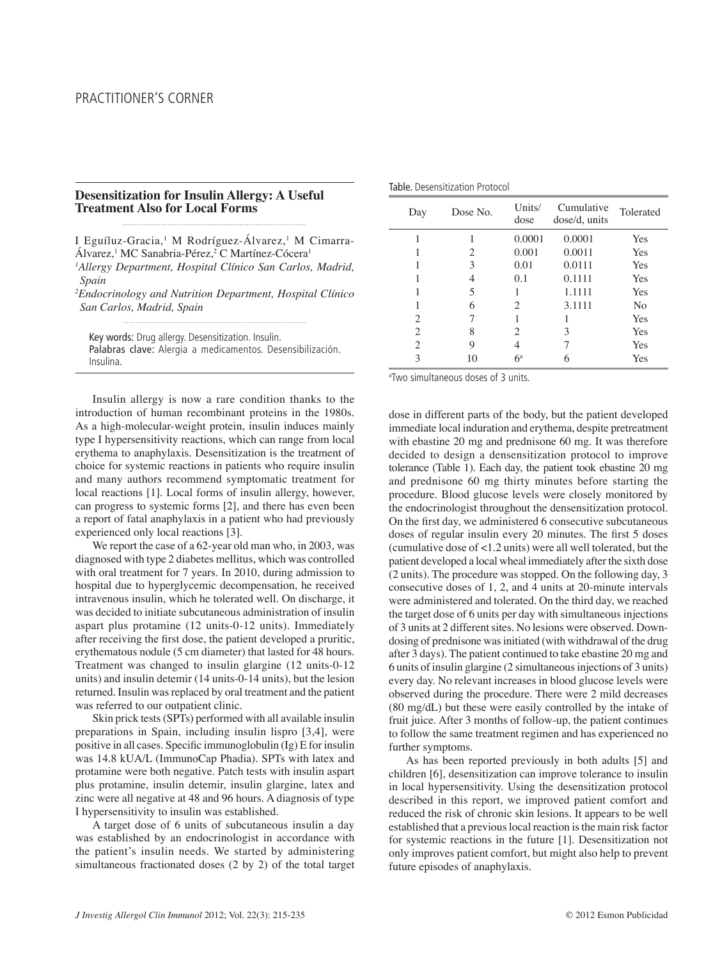# **Desensitization for Insulin Allergy: A Useful Treatment Also for Local Forms**

I Eguíluz-Gracia,<sup>1</sup> M Rodríguez-Álvarez,<sup>1</sup> M Cimarra-Álvarez,<sup>1</sup> MC Sanabria-Pérez,<sup>2</sup> C Martínez-Cócera<sup>1</sup>

*1 Allergy Department, Hospital Clínico San Carlos, Madrid, Spain* 

*2 Endocrinology and Nutrition Department, Hospital Clínico San Carlos, Madrid, Spain*

Key words: Drug allergy. Desensitization. Insulin.

Palabras clave: Alergia a medicamentos. Desensibilización. Insulina.

Insulin allergy is now a rare condition thanks to the introduction of human recombinant proteins in the 1980s. As a high-molecular-weight protein, insulin induces mainly type I hypersensitivity reactions, which can range from local erythema to anaphylaxis. Desensitization is the treatment of choice for systemic reactions in patients who require insulin and many authors recommend symptomatic treatment for local reactions [1]. Local forms of insulin allergy, however, can progress to systemic forms [2], and there has even been a report of fatal anaphylaxis in a patient who had previously experienced only local reactions [3].

We report the case of a 62-year old man who, in 2003, was diagnosed with type 2 diabetes mellitus, which was controlled with oral treatment for 7 years. In 2010, during admission to hospital due to hyperglycemic decompensation, he received intravenous insulin, which he tolerated well. On discharge, it was decided to initiate subcutaneous administration of insulin aspart plus protamine (12 units-0-12 units). Immediately after receiving the first dose, the patient developed a pruritic, erythematous nodule (5 cm diameter) that lasted for 48 hours. Treatment was changed to insulin glargine (12 units-0-12 units) and insulin detemir (14 units-0-14 units), but the lesion returned. Insulin was replaced by oral treatment and the patient was referred to our outpatient clinic.

Skin prick tests (SPTs) performed with all available insulin preparations in Spain, including insulin lispro [3,4], were positive in all cases. Specific immunoglobulin  $(Ig)$  E for insulin was 14.8 kUA/L (ImmunoCap Phadia). SPTs with latex and protamine were both negative. Patch tests with insulin aspart plus protamine, insulin detemir, insulin glargine, latex and zinc were all negative at 48 and 96 hours. A diagnosis of type I hypersensitivity to insulin was established.

A target dose of 6 units of subcutaneous insulin a day was established by an endocrinologist in accordance with the patient's insulin needs. We started by administering simultaneous fractionated doses (2 by 2) of the total target

| Day            | Dose No. | Units/<br>dose | Cumulative<br>dose/d, units | Tolerated |
|----------------|----------|----------------|-----------------------------|-----------|
| 1              |          | 0.0001         | 0.0001                      | Yes       |
|                | 2        | 0.001          | 0.0011                      | Yes       |
|                | 3        | 0.01           | 0.0111                      | Yes       |
|                | 4        | 0.1            | 0.1111                      | Yes       |
|                | 5        |                | 1.1111                      | Yes       |
|                | 6        | 2              | 3.1111                      | No        |
| 2              |          |                |                             | Yes       |
| 2              | 8        | 2              | 3                           | Yes       |
| $\mathfrak{D}$ | 9        | 4              |                             | Yes       |
| 3              | 10       | $6^a$          | 6                           | Yes       |

Table. Desensitization Protocol

a Two simultaneous doses of 3 units.

dose in different parts of the body, but the patient developed immediate local induration and erythema, despite pretreatment with ebastine 20 mg and prednisone 60 mg. It was therefore decided to design a densensitization protocol to improve tolerance (Table 1). Each day, the patient took ebastine 20 mg and prednisone 60 mg thirty minutes before starting the procedure. Blood glucose levels were closely monitored by the endocrinologist throughout the densensitization protocol. On the first day, we administered 6 consecutive subcutaneous doses of regular insulin every 20 minutes. The first 5 doses (cumulative dose of <1.2 units) were all well tolerated, but the patient developed a local wheal immediately after the sixth dose (2 units). The procedure was stopped. On the following day, 3 consecutive doses of 1, 2, and 4 units at 20-minute intervals were administered and tolerated. On the third day, we reached the target dose of 6 units per day with simultaneous injections of 3 units at 2 different sites. No lesions were observed. Downdosing of prednisone was initiated (with withdrawal of the drug after 3 days). The patient continued to take ebastine 20 mg and 6 units of insulin glargine (2 simultaneous injections of 3 units) every day. No relevant increases in blood glucose levels were observed during the procedure. There were 2 mild decreases (80 mg/dL) but these were easily controlled by the intake of fruit juice. After 3 months of follow-up, the patient continues to follow the same treatment regimen and has experienced no further symptoms.

As has been reported previously in both adults [5] and children [6], desensitization can improve tolerance to insulin in local hypersensitivity. Using the desensitization protocol described in this report, we improved patient comfort and reduced the risk of chronic skin lesions. It appears to be well established that a previous local reaction is the main risk factor for systemic reactions in the future [1]. Desensitization not only improves patient comfort, but might also help to prevent future episodes of anaphylaxis.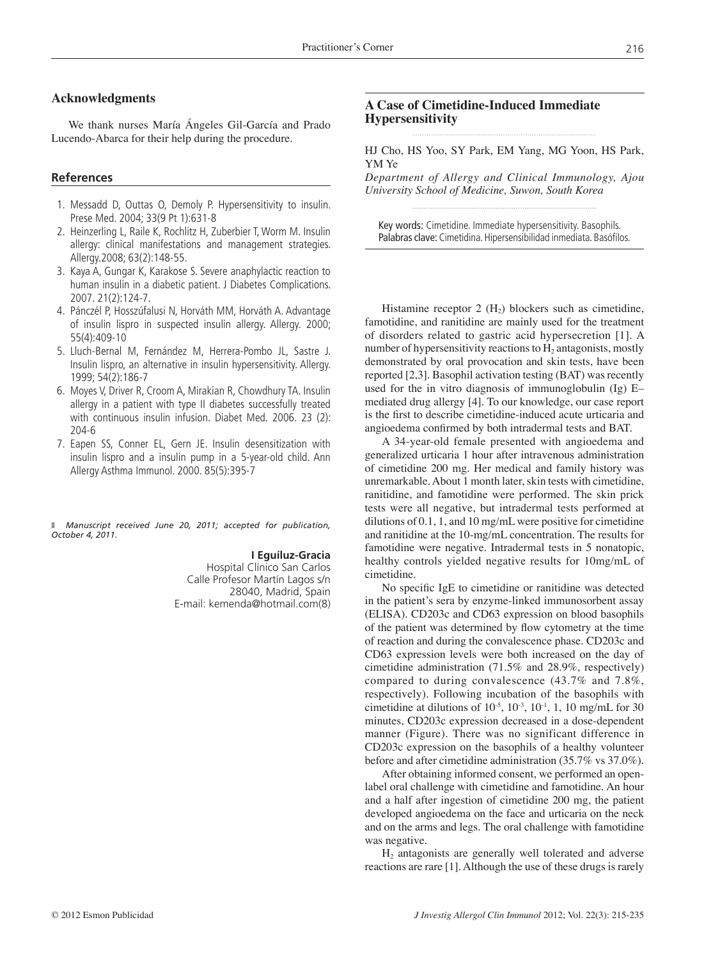### **Acknowledgments**

We thank nurses María Ángeles Gil-García and Prado Lucendo-Abarca for their help during the procedure.

### **References**

- 1. Messadd D, Outtas O, Demoly P. Hypersensitivity to insulin. Prese Med. 2004; 33(9 Pt 1):631-8
- 2. Heinzerling L, Raile K, Rochlitz H, Zuberbier T, Worm M. Insulin allergy: clinical manifestations and management strategies. Allergy.2008; 63(2):148-55.
- 3. Kaya A, Gungar K, Karakose S. Severe anaphylactic reaction to human insulin in a diabetic patient. J Diabetes Complications. 2007. 21(2):124-7.
- 4. Pánczél P, Hosszúfalusi N, Horváth MM, Horváth A. Advantage of insulin lispro in suspected insulin allergy. Allergy. 2000; 55(4):409-10
- 5. Lluch-Bernal M, Fernández M, Herrera-Pombo JL, Sastre J. Insulin lispro, an alternative in insulin hypersensitivity. Allergy. 1999; 54(2):186-7
- 6. Moyes V, Driver R, Croom A, Mirakian R, Chowdhury TA. Insulin allergy in a patient with type II diabetes successfully treated with continuous insulin infusion. Diabet Med. 2006. 23 (2): 204-6
- 7. Eapen SS, Conner EL, Gern JE. Insulin desensitization with insulin lispro and a insulin pump in a 5-year-old child. Ann Allergy Asthma Immunol. 2000. 85(5):395-7

❚ *Manuscript received June 20, 2011; accepted for publication, October 4, 2011.*

#### **I Eguíluz-Gracia**

Hospital Clínico San Carlos Calle Profesor Martín Lagos s/n 28040, Madrid, Spain E-mail: kemenda@hotmail.com(8)

# **A Case of Cimetidine-Induced Immediate Hypersensitivity**

HJ Cho, HS Yoo, SY Park, EM Yang, MG Yoon, HS Park, YM Ye

*Department of Allergy and Clinical Immunology, Ajou University School of Medicine, Suwon, South Korea*

Key words: Cimetidine. Immediate hypersensitivity. Basophils. Palabras clave: Cimetidina. Hipersensibilidad inmediata. Basófilos.

Histamine receptor  $2 \text{ (H}_2)$  blockers such as cimetidine, famotidine, and ranitidine are mainly used for the treatment of disorders related to gastric acid hypersecretion [1]. A number of hypersensitivity reactions to  $H<sub>2</sub>$  antagonists, mostly demonstrated by oral provocation and skin tests, have been reported [2,3]. Basophil activation testing (BAT) was recently used for the in vitro diagnosis of immunoglobulin (Ig) E– mediated drug allergy [4]. To our knowledge, our case report is the first to describe cimetidine-induced acute urticaria and angioedema confirmed by both intradermal tests and BAT.

A 34-year-old female presented with angioedema and generalized urticaria 1 hour after intravenous administration of cimetidine 200 mg. Her medical and family history was unremarkable. About 1 month later, skin tests with cimetidine, ranitidine, and famotidine were performed. The skin prick tests were all negative, but intradermal tests performed at dilutions of 0.1, 1, and 10 mg/mL were positive for cimetidine and ranitidine at the 10-mg/mL concentration. The results for famotidine were negative. Intradermal tests in 5 nonatopic, healthy controls yielded negative results for 10mg/mL of cimetidine.

No specific IgE to cimetidine or ranitidine was detected in the patient's sera by enzyme-linked immunosorbent assay (ELISA). CD203c and CD63 expression on blood basophils of the patient was determined by flow cytometry at the time of reaction and during the convalescence phase. CD203c and CD63 expression levels were both increased on the day of cimetidine administration (71.5% and 28.9%, respectively) compared to during convalescence (43.7% and 7.8%, respectively). Following incubation of the basophils with cimetidine at dilutions of  $10^{-5}$ ,  $10^{-3}$ ,  $10^{-1}$ ,  $1$ ,  $10 \text{ mg/mL}$  for  $30$ minutes, CD203c expression decreased in a dose-dependent manner (Figure). There was no significant difference in CD203c expression on the basophils of a healthy volunteer before and after cimetidine administration (35.7% vs 37.0%).

After obtaining informed consent, we performed an openlabel oral challenge with cimetidine and famotidine. An hour and a half after ingestion of cimetidine 200 mg, the patient developed angioedema on the face and urticaria on the neck and on the arms and legs. The oral challenge with famotidine was negative.

H2 antagonists are generally well tolerated and adverse reactions are rare [1]. Although the use of these drugs is rarely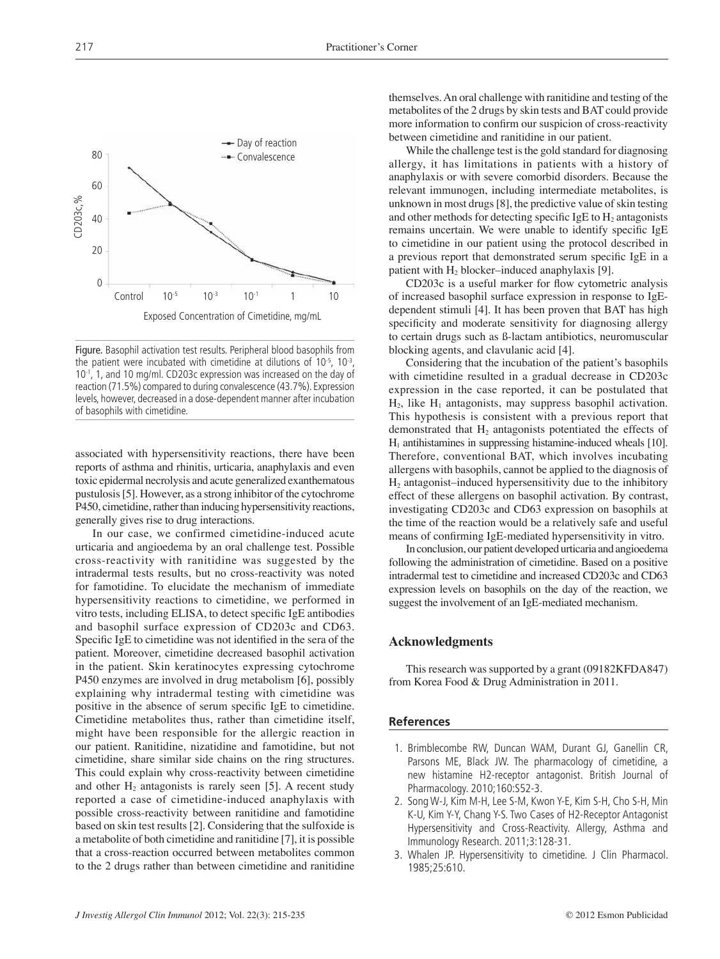

Figure. Basophil activation test results. Peripheral blood basophils from the patient were incubated with cimetidine at dilutions of  $10^{-5}$ ,  $10^{-3}$ , 10<sup>-1</sup>, 1, and 10 mg/ml. CD203c expression was increased on the day of reaction (71.5%) compared to during convalescence (43.7%). Expression levels, however, decreased in a dose-dependent manner after incubation of basophils with cimetidine.

associated with hypersensitivity reactions, there have been reports of asthma and rhinitis, urticaria, anaphylaxis and even toxic epidermal necrolysis and acute generalized exanthematous pustulosis [5]. However, as a strong inhibitor of the cytochrome P450, cimetidine, rather than inducing hypersensitivity reactions, generally gives rise to drug interactions.

In our case, we confirmed cimetidine-induced acute urticaria and angioedema by an oral challenge test. Possible cross-reactivity with ranitidine was suggested by the intradermal tests results, but no cross-reactivity was noted for famotidine. To elucidate the mechanism of immediate hypersensitivity reactions to cimetidine, we performed in vitro tests, including ELISA, to detect specific IgE antibodies and basophil surface expression of CD203c and CD63. Specific IgE to cimetidine was not identified in the sera of the patient. Moreover, cimetidine decreased basophil activation in the patient. Skin keratinocytes expressing cytochrome P450 enzymes are involved in drug metabolism [6], possibly explaining why intradermal testing with cimetidine was positive in the absence of serum specific IgE to cimetidine. Cimetidine metabolites thus, rather than cimetidine itself, might have been responsible for the allergic reaction in our patient. Ranitidine, nizatidine and famotidine, but not cimetidine, share similar side chains on the ring structures. This could explain why cross-reactivity between cimetidine and other  $H_2$  antagonists is rarely seen [5]. A recent study reported a case of cimetidine-induced anaphylaxis with possible cross-reactivity between ranitidine and famotidine based on skin test results [2]. Considering that the sulfoxide is a metabolite of both cimetidine and ranitidine [7], it is possible that a cross-reaction occurred between metabolites common to the 2 drugs rather than between cimetidine and ranitidine themselves. An oral challenge with ranitidine and testing of the metabolites of the 2 drugs by skin tests and BAT could provide more information to confirm our suspicion of cross-reactivity between cimetidine and ranitidine in our patient.

While the challenge test is the gold standard for diagnosing allergy, it has limitations in patients with a history of anaphylaxis or with severe comorbid disorders. Because the relevant immunogen, including intermediate metabolites, is unknown in most drugs [8], the predictive value of skin testing and other methods for detecting specific IgE to  $H_2$  antagonists remains uncertain. We were unable to identify specific IgE to cimetidine in our patient using the protocol described in a previous report that demonstrated serum specific IgE in a patient with  $H_2$  blocker–induced anaphylaxis [9].

CD203c is a useful marker for flow cytometric analysis of increased basophil surface expression in response to IgEdependent stimuli [4]. It has been proven that BAT has high specificity and moderate sensitivity for diagnosing allergy to certain drugs such as ß-lactam antibiotics, neuromuscular blocking agents, and clavulanic acid [4].

Considering that the incubation of the patient's basophils with cimetidine resulted in a gradual decrease in CD203c expression in the case reported, it can be postulated that  $H<sub>2</sub>$ , like  $H<sub>1</sub>$  antagonists, may suppress basophil activation. This hypothesis is consistent with a previous report that demonstrated that  $H_2$  antagonists potentiated the effects of  $H<sub>1</sub>$  antihistamines in suppressing histamine-induced wheals [10]. Therefore, conventional BAT, which involves incubating allergens with basophils, cannot be applied to the diagnosis of  $H<sub>2</sub>$  antagonist–induced hypersensitivity due to the inhibitory effect of these allergens on basophil activation. By contrast, investigating CD203c and CD63 expression on basophils at the time of the reaction would be a relatively safe and useful means of confirming IgE-mediated hypersensitivity in vitro.

In conclusion, our patient developed urticaria and angioedema following the administration of cimetidine. Based on a positive intradermal test to cimetidine and increased CD203c and CD63 expression levels on basophils on the day of the reaction, we suggest the involvement of an IgE-mediated mechanism.

### **Acknowledgments**

This research was supported by a grant (09182KFDA847) from Korea Food & Drug Administration in 2011.

#### **References**

- 1. Brimblecombe RW, Duncan WAM, Durant GJ, Ganellin CR, Parsons ME, Black JW. The pharmacology of cimetidine, a new histamine H2-receptor antagonist. British Journal of Pharmacology. 2010;160:S52-3.
- 2. Song W-J, Kim M-H, Lee S-M, Kwon Y-E, Kim S-H, Cho S-H, Min K-U, Kim Y-Y, Chang Y-S. Two Cases of H2-Receptor Antagonist Hypersensitivity and Cross-Reactivity. Allergy, Asthma and Immunology Research. 2011;3:128-31.
- 3. Whalen JP. Hypersensitivity to cimetidine. J Clin Pharmacol. 1985;25:610.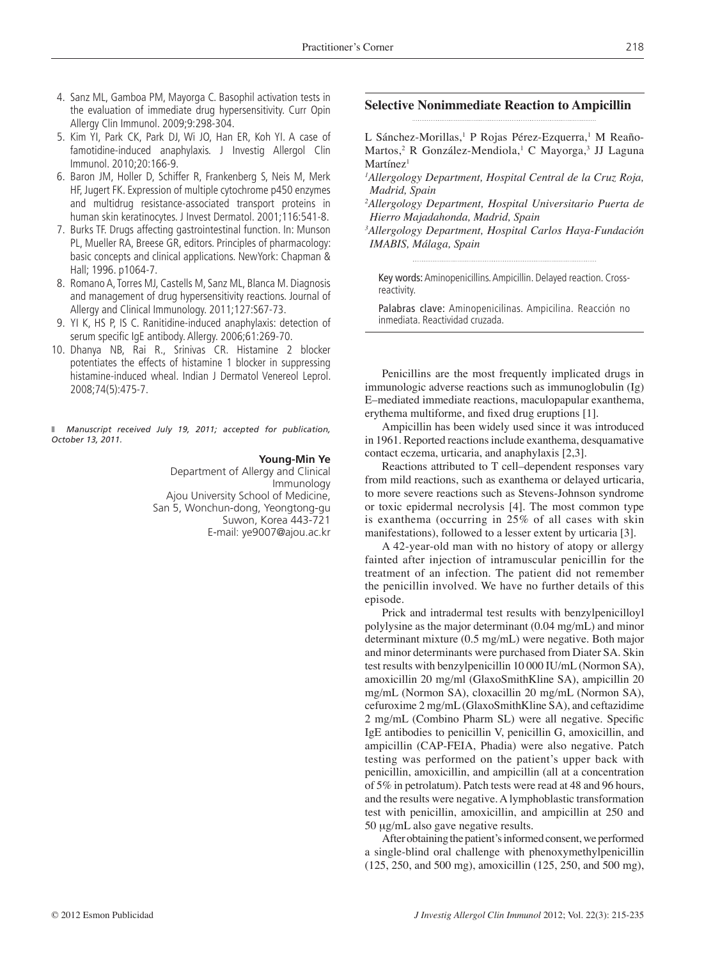- 4. Sanz ML, Gamboa PM, Mayorga C. Basophil activation tests in the evaluation of immediate drug hypersensitivity. Curr Opin Allergy Clin Immunol. 2009;9:298-304.
- 5. Kim YI, Park CK, Park DJ, Wi JO, Han ER, Koh YI. A case of famotidine-induced anaphylaxis. J Investig Allergol Clin Immunol. 2010;20:166-9.
- 6. Baron JM, Holler D, Schiffer R, Frankenberg S, Neis M, Merk HF, Jugert FK. Expression of multiple cytochrome p450 enzymes and multidrug resistance-associated transport proteins in human skin keratinocytes. J Invest Dermatol. 2001;116:541-8.
- 7. Burks TF. Drugs affecting gastrointestinal function. In: Munson PL, Mueller RA, Breese GR, editors. Principles of pharmacology: basic concepts and clinical applications. NewYork: Chapman & Hall; 1996. p1064-7.
- 8. Romano A, Torres MJ, Castells M, Sanz ML, Blanca M. Diagnosis and management of drug hypersensitivity reactions. Journal of Allergy and Clinical Immunology. 2011;127:S67-73.
- 9. YI K, HS P, IS C. Ranitidine-induced anaphylaxis: detection of serum specific IqE antibody. Allergy. 2006;61:269-70.
- 10. Dhanya NB, Rai R., Srinivas CR. Histamine 2 blocker potentiates the effects of histamine 1 blocker in suppressing histamine-induced wheal. Indian J Dermatol Venereol Leprol. 2008;74(5):475-7.

❚ *Manuscript received July 19, 2011; accepted for publication, October 13, 2011.*

#### **Young-Min Ye**

Department of Allergy and Clinical Immunology Ajou University School of Medicine, San 5, Wonchun-dong, Yeongtong-gu Suwon, Korea 443-721 E-mail: ye9007@ajou.ac.kr

## **Selective Nonimmediate Reaction to Ampicillin**

- L Sánchez-Morillas,<sup>1</sup> P Rojas Pérez-Ezquerra,<sup>1</sup> M Reaño-Martos,<sup>2</sup> R González-Mendiola,<sup>1</sup> C Mayorga,<sup>3</sup> JJ Laguna  $M$ artínez $1$
- *1 Allergology Department, Hospital Central de la Cruz Roja, Madrid, Spain*
- *2 Allergology Department, Hospital Universitario Puerta de Hierro Majadahonda, Madrid, Spain*

*3 Allergology Department, Hospital Carlos Haya-Fundación IMABIS, Málaga, Spain*

Key words: Aminopenicillins. Ampicillin. Delayed reaction. Crossreactivity.

Palabras clave: Aminopenicilinas. Ampicilina. Reacción no inmediata. Reactividad cruzada.

Penicillins are the most frequently implicated drugs in immunologic adverse reactions such as immunoglobulin (Ig) E–mediated immediate reactions, maculopapular exanthema, erythema multiforme, and fixed drug eruptions [1].

Ampicillin has been widely used since it was introduced in 1961. Reported reactions include exanthema, desquamative contact eczema, urticaria, and anaphylaxis [2,3].

Reactions attributed to T cell–dependent responses vary from mild reactions, such as exanthema or delayed urticaria, to more severe reactions such as Stevens-Johnson syndrome or toxic epidermal necrolysis [4]. The most common type is exanthema (occurring in 25% of all cases with skin manifestations), followed to a lesser extent by urticaria [3].

A 42-year-old man with no history of atopy or allergy fainted after injection of intramuscular penicillin for the treatment of an infection. The patient did not remember the penicillin involved. We have no further details of this episode.

Prick and intradermal test results with benzylpenicilloyl polylysine as the major determinant (0.04 mg/mL) and minor determinant mixture (0.5 mg/mL) were negative. Both major and minor determinants were purchased from Diater SA. Skin test results with benzylpenicillin 10 000 IU/mL (Normon SA), amoxicillin 20 mg/ml (GlaxoSmithKline SA), ampicillin 20 mg/mL (Normon SA), cloxacillin 20 mg/mL (Normon SA), cefuroxime 2 mg/mL (GlaxoSmithKline SA), and ceftazidime 2 mg/mL (Combino Pharm SL) were all negative. Specific IgE antibodies to penicillin V, penicillin G, amoxicillin, and ampicillin (CAP-FEIA, Phadia) were also negative. Patch testing was performed on the patient's upper back with penicillin, amoxicillin, and ampicillin (all at a concentration of 5% in petrolatum). Patch tests were read at 48 and 96 hours, and the results were negative. A lymphoblastic transformation test with penicillin, amoxicillin, and ampicillin at 250 and 50 μg/mL also gave negative results.

After obtaining the patient's informed consent, we performed a single-blind oral challenge with phenoxymethylpenicillin (125, 250, and 500 mg), amoxicillin (125, 250, and 500 mg),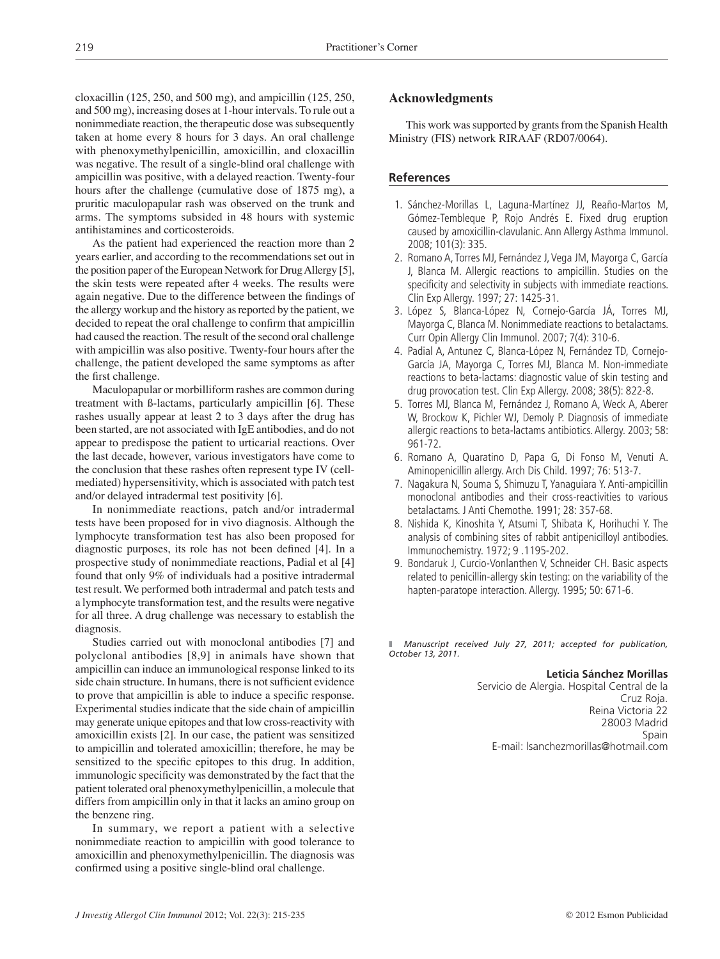cloxacillin (125, 250, and 500 mg), and ampicillin (125, 250, and 500 mg), increasing doses at 1-hour intervals. To rule out a nonimmediate reaction, the therapeutic dose was subsequently taken at home every 8 hours for 3 days. An oral challenge with phenoxymethylpenicillin, amoxicillin, and cloxacillin was negative. The result of a single-blind oral challenge with ampicillin was positive, with a delayed reaction. Twenty-four hours after the challenge (cumulative dose of 1875 mg), a pruritic maculopapular rash was observed on the trunk and arms. The symptoms subsided in 48 hours with systemic antihistamines and corticosteroids.

As the patient had experienced the reaction more than 2 years earlier, and according to the recommendations set out in the position paper of the European Network for Drug Allergy [5], the skin tests were repeated after 4 weeks. The results were again negative. Due to the difference between the findings of the allergy workup and the history as reported by the patient, we decided to repeat the oral challenge to confirm that ampicillin had caused the reaction. The result of the second oral challenge with ampicillin was also positive. Twenty-four hours after the challenge, the patient developed the same symptoms as after the first challenge.

Maculopapular or morbilliform rashes are common during treatment with ß-lactams, particularly ampicillin [6]. These rashes usually appear at least 2 to 3 days after the drug has been started, are not associated with IgE antibodies, and do not appear to predispose the patient to urticarial reactions. Over the last decade, however, various investigators have come to the conclusion that these rashes often represent type IV (cellmediated) hypersensitivity, which is associated with patch test and/or delayed intradermal test positivity [6].

In nonimmediate reactions, patch and/or intradermal tests have been proposed for in vivo diagnosis. Although the lymphocyte transformation test has also been proposed for diagnostic purposes, its role has not been defined [4]. In a prospective study of nonimmediate reactions, Padial et al [4] found that only 9% of individuals had a positive intradermal test result. We performed both intradermal and patch tests and a lymphocyte transformation test, and the results were negative for all three. A drug challenge was necessary to establish the diagnosis.

Studies carried out with monoclonal antibodies [7] and polyclonal antibodies [8,9] in animals have shown that ampicillin can induce an immunological response linked to its side chain structure. In humans, there is not sufficient evidence to prove that ampicillin is able to induce a specific response. Experimental studies indicate that the side chain of ampicillin may generate unique epitopes and that low cross-reactivity with amoxicillin exists [2]. In our case, the patient was sensitized to ampicillin and tolerated amoxicillin; therefore, he may be sensitized to the specific epitopes to this drug. In addition, immunologic specificity was demonstrated by the fact that the patient tolerated oral phenoxymethylpenicillin, a molecule that differs from ampicillin only in that it lacks an amino group on the benzene ring.

In summary, we report a patient with a selective nonimmediate reaction to ampicillin with good tolerance to amoxicillin and phenoxymethylpenicillin. The diagnosis was confirmed using a positive single-blind oral challenge.

# **Acknowledgments**

This work was supported by grants from the Spanish Health Ministry (FIS) network RIRAAF (RD07/0064).

## **References**

- 1. Sánchez-Morillas L, Laguna-Martínez JJ, Reaño-Martos M, Gómez-Tembleque P, Rojo Andrés E. Fixed drug eruption caused by amoxicillin-clavulanic. Ann Allergy Asthma Immunol. 2008; 101(3): 335.
- 2. Romano A, Torres MJ, Fernández J, Vega JM, Mayorga C, García J, Blanca M. Allergic reactions to ampicillin. Studies on the specificity and selectivity in subjects with immediate reactions. Clin Exp Allergy. 1997; 27: 1425-31.
- 3. López S, Blanca-López N, Cornejo-García JÁ, Torres MJ, Mayorga C, Blanca M. Nonimmediate reactions to betalactams. Curr Opin Allergy Clin Immunol. 2007; 7(4): 310-6.
- 4. Padial A, Antunez C, Blanca-López N, Fernández TD, Cornejo-García JA, Mayorga C, Torres MJ, Blanca M. Non-immediate reactions to beta-lactams: diagnostic value of skin testing and drug provocation test. Clin Exp Allergy. 2008; 38(5): 822-8.
- 5. Torres MJ, Blanca M, Fernández J, Romano A, Weck A, Aberer W, Brockow K, Pichler WJ, Demoly P. Diagnosis of immediate allergic reactions to beta-lactams antibiotics. Allergy. 2003; 58: 961-72.
- 6. Romano A, Quaratino D, Papa G, Di Fonso M, Venuti A. Aminopenicillin allergy. Arch Dis Child. 1997; 76: 513-7.
- 7. Nagakura N, Souma S, Shimuzu T, Yanaguiara Y. Anti-ampicillin monoclonal antibodies and their cross-reactivities to various betalactams. J Anti Chemothe. 1991; 28: 357-68.
- 8. Nishida K, Kinoshita Y, Atsumi T, Shibata K, Horihuchi Y. The analysis of combining sites of rabbit antipenicilloyl antibodies. Immunochemistry. 1972; 9 .1195-202.
- 9. Bondaruk J, Curcio-Vonlanthen V, Schneider CH. Basic aspects related to penicillin-allergy skin testing: on the variability of the hapten-paratope interaction. Allergy. 1995; 50: 671-6.

❚ *Manuscript received July 27, 2011; accepted for publication, October 13, 2011.*

### **Leticia Sánchez Morillas**

Servicio de Alergia. Hospital Central de la Cruz Roja. Reina Victoria 22 28003 Madrid Spain E-mail: lsanchezmorillas@hotmail.com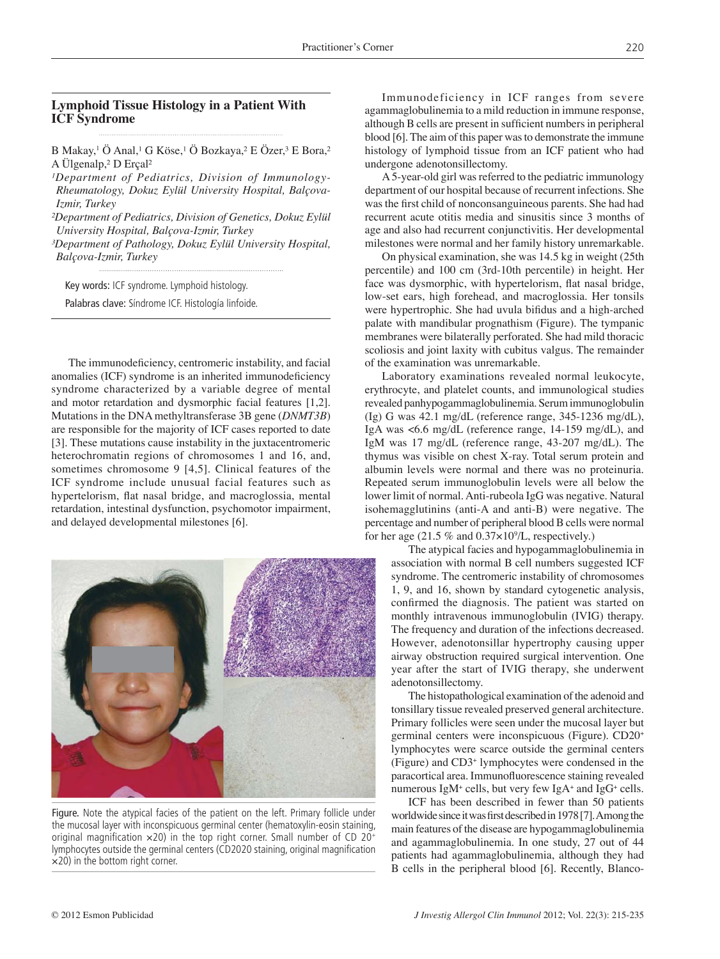## **Lymphoid Tissue Histology in a Patient With ICF Syndrome**

B Makay,<sup>1</sup> Ö Anal,<sup>1</sup> G Köse,<sup>1</sup> Ö Bozkaya,<sup>2</sup> E Özer,<sup>3</sup> E Bora,<sup>2</sup> A Ülgenalp,² D Erçal²

<sup>1</sup>Department of Pediatrics, Division of Immunology-*Rheumatology, Dokuz Eylül University Hospital, Balçova-Izmir, Turkey*

*²Department of Pediatrics, Division of Genetics, Dokuz Eylül University Hospital, Balçova-Izmir, Turkey*

*³Department of Pathology, Dokuz Eylül University Hospital, Balçova-Izmir, Turkey*

Key words: ICF syndrome. Lymphoid histology.

Palabras clave: Síndrome ICF. Histología linfoide.

The immunodeficiency, centromeric instability, and facial anomalies (ICF) syndrome is an inherited immunodeficiency syndrome characterized by a variable degree of mental and motor retardation and dysmorphic facial features [1,2]. Mutations in the DNA methyltransferase 3B gene (*DNMT3B*) are responsible for the majority of ICF cases reported to date [3]. These mutations cause instability in the juxtacentromeric heterochromatin regions of chromosomes 1 and 16, and, sometimes chromosome 9 [4,5]. Clinical features of the ICF syndrome include unusual facial features such as hypertelorism, flat nasal bridge, and macroglossia, mental retardation, intestinal dysfunction, psychomotor impairment, and delayed developmental milestones [6].



Figure. Note the atypical facies of the patient on the left. Primary follicle under the mucosal layer with inconspicuous germinal center (hematoxylin-eosin staining, original magnification  $\times$ 20) in the top right corner. Small number of CD 20<sup>+</sup> lymphocytes outside the germinal centers (CD2020 staining, original magnification ×20) in the bottom right corner.

Immunodeficiency in ICF ranges from severe agammaglobulinemia to a mild reduction in immune response, although B cells are present in sufficient numbers in peripheral blood [6]. The aim of this paper was to demonstrate the immune histology of lymphoid tissue from an ICF patient who had undergone adenotonsillectomy.

A 5-year-old girl was referred to the pediatric immunology department of our hospital because of recurrent infections. She was the first child of nonconsanguineous parents. She had had recurrent acute otitis media and sinusitis since 3 months of age and also had recurrent conjunctivitis. Her developmental milestones were normal and her family history unremarkable.

On physical examination, she was 14.5 kg in weight (25th percentile) and 100 cm (3rd-10th percentile) in height. Her face was dysmorphic, with hypertelorism, flat nasal bridge, low-set ears, high forehead, and macroglossia. Her tonsils were hypertrophic. She had uvula bifidus and a high-arched palate with mandibular prognathism (Figure). The tympanic membranes were bilaterally perforated. She had mild thoracic scoliosis and joint laxity with cubitus valgus. The remainder of the examination was unremarkable.

Laboratory examinations revealed normal leukocyte, erythrocyte, and platelet counts, and immunological studies revealed panhypogammaglobulinemia. Serum immunoglobulin (Ig) G was 42.1 mg/dL (reference range, 345-1236 mg/dL), IgA was <6.6 mg/dL (reference range, 14-159 mg/dL), and IgM was 17 mg/dL (reference range, 43-207 mg/dL). The thymus was visible on chest X-ray. Total serum protein and albumin levels were normal and there was no proteinuria. Repeated serum immunoglobulin levels were all below the lower limit of normal. Anti-rubeola IgG was negative. Natural isohemagglutinins (anti-A and anti-B) were negative. The percentage and number of peripheral blood B cells were normal for her age  $(21.5\%$  and  $0.37 \times 10^9$ /L, respectively.)

The atypical facies and hypogammaglobulinemia in association with normal B cell numbers suggested ICF syndrome. The centromeric instability of chromosomes 1, 9, and 16, shown by standard cytogenetic analysis, confirmed the diagnosis. The patient was started on monthly intravenous immunoglobulin (IVIG) therapy. The frequency and duration of the infections decreased. However, adenotonsillar hypertrophy causing upper airway obstruction required surgical intervention. One year after the start of IVIG therapy, she underwent adenotonsillectomy.

The histopathological examination of the adenoid and tonsillary tissue revealed preserved general architecture. Primary follicles were seen under the mucosal layer but germinal centers were inconspicuous (Figure). CD20+ lymphocytes were scarce outside the germinal centers (Figure) and CD3+ lymphocytes were condensed in the paracortical area. Immunofluorescence staining revealed numerous IgM<sup>+</sup> cells, but very few IgA<sup>+</sup> and IgG<sup>+</sup> cells.

ICF has been described in fewer than 50 patients worldwide since it was first described in 1978 [7]. Among the main features of the disease are hypogammaglobulinemia and agammaglobulinemia. In one study, 27 out of 44 patients had agammaglobulinemia, although they had B cells in the peripheral blood [6]. Recently, Blanco-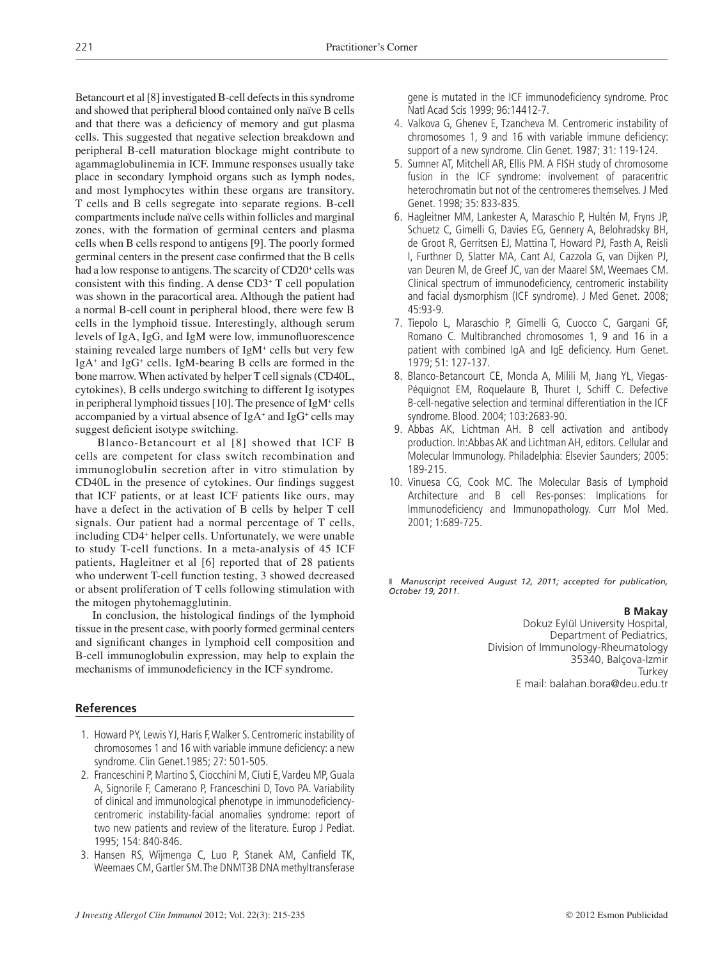Betancourt et al [8] investigated B-cell defects in this syndrome and showed that peripheral blood contained only naïve B cells and that there was a deficiency of memory and gut plasma cells. This suggested that negative selection breakdown and peripheral B-cell maturation blockage might contribute to agammaglobulinemia in ICF. Immune responses usually take place in secondary lymphoid organs such as lymph nodes, and most lymphocytes within these organs are transitory. T cells and B cells segregate into separate regions. B-cell compartments include naïve cells within follicles and marginal zones, with the formation of germinal centers and plasma cells when B cells respond to antigens [9]. The poorly formed germinal centers in the present case confirmed that the B cells had a low response to antigens. The scarcity of CD20<sup>+</sup> cells was consistent with this finding. A dense  $CD3+T$  cell population was shown in the paracortical area. Although the patient had a normal B-cell count in peripheral blood, there were few B cells in the lymphoid tissue. Interestingly, although serum levels of IgA, IgG, and IgM were low, immunofluorescence staining revealed large numbers of IgM<sup>+</sup> cells but very few IgA+ and IgG+ cells. IgM-bearing B cells are formed in the bone marrow. When activated by helper T cell signals (CD40L, cytokines), B cells undergo switching to different Ig isotypes in peripheral lymphoid tissues [10]. The presence of IgM+ cells accompanied by a virtual absence of  $IgA^+$  and  $IgG^+$  cells may suggest deficient isotype switching.

 Blanco-Betancourt et al [8] showed that ICF B cells are competent for class switch recombination and immunoglobulin secretion after in vitro stimulation by CD40L in the presence of cytokines. Our findings suggest that ICF patients, or at least ICF patients like ours, may have a defect in the activation of B cells by helper T cell signals. Our patient had a normal percentage of T cells, including CD4+ helper cells. Unfortunately, we were unable to study T-cell functions. In a meta-analysis of 45 ICF patients, Hagleitner et al [6] reported that of 28 patients who underwent T-cell function testing, 3 showed decreased or absent proliferation of T cells following stimulation with the mitogen phytohemagglutinin.

In conclusion, the histological findings of the lymphoid tissue in the present case, with poorly formed germinal centers and significant changes in lymphoid cell composition and B-cell immunoglobulin expression, may help to explain the mechanisms of immunodeficiency in the ICF syndrome.

## **References**

- 1. Howard PY, Lewis YJ, Haris F, Walker S. Centromeric instability of chromosomes 1 and 16 with variable immune deficiency: a new syndrome. Clin Genet.1985; 27: 501-505.
- 2. Franceschini P, Martino S, Ciocchini M, Ciuti E, Vardeu MP, Guala A, Signorile F, Camerano P, Franceschini D, Tovo PA. Variability of clinical and immunological phenotype in immunodeficiencycentromeric instability-facial anomalies syndrome: report of two new patients and review of the literature. Europ J Pediat. 1995; 154: 840-846.
- 3. Hansen RS, Wijmenga C, Luo P, Stanek AM, Canfield TK, Weemaes CM, Gartler SM. The DNMT3B DNA methyltransferase

gene is mutated in the ICF immunodeficiency syndrome. Proc Natl Acad Scis 1999; 96:14412-7.

- 4. Valkova G, Ghenev E, Tzancheva M. Centromeric instability of chromosomes 1, 9 and 16 with variable immune deficiency: support of a new syndrome. Clin Genet. 1987; 31: 119-124.
- 5. Sumner AT, Mitchell AR, Ellis PM. A FISH study of chromosome fusion in the ICF syndrome: involvement of paracentric heterochromatin but not of the centromeres themselves. J Med Genet. 1998; 35: 833-835.
- 6. Hagleitner MM, Lankester A, Maraschio P, Hultén M, Fryns JP, Schuetz C, Gimelli G, Davies EG, Gennery A, Belohradsky BH, de Groot R, Gerritsen EJ, Mattina T, Howard PJ, Fasth A, Reisli I, Furthner D, Slatter MA, Cant AJ, Cazzola G, van Dijken PJ, van Deuren M, de Greef JC, van der Maarel SM, Weemaes CM. Clinical spectrum of immunodeficiency, centromeric instability and facial dysmorphism (ICF syndrome). J Med Genet. 2008; 45:93-9.
- 7. Tiepolo L, Maraschio P, Gimelli G, Cuocco C, Gargani GF, Romano C. Multibranched chromosomes 1, 9 and 16 in a patient with combined IqA and IqE deficiency. Hum Genet. 1979; 51: 127-137.
- 8. Blanco-Betancourt CE, Moncla A, Milili M, Jıang YL, Viegas-Péquignot EM, Roquelaure B, Thuret I, Schiff C. Defective B-cell-negative selection and terminal differentiation in the ICF syndrome. Blood. 2004; 103:2683-90.
- 9. Abbas AK, Lichtman AH. B cell activation and antibody production. In:Abbas AK and Lichtman AH, editors. Cellular and Molecular Immunology. Philadelphia: Elsevier Saunders; 2005: 189-215.
- 10. Vinuesa CG, Cook MC. The Molecular Basis of Lymphoid Architecture and B cell Res-ponses: Implications for Immunodeficiency and Immunopathology. Curr Mol Med. 2001; 1:689-725.

■ Manuscript received August 12, 2011; accepted for publication, *October 19, 2011.*

### **B Makay**

Dokuz Eylül University Hospital, Department of Pediatrics, Division of Immunology-Rheumatology 35340, Balçova-Izmir **Turkey** E mail: balahan.bora@deu.edu.tr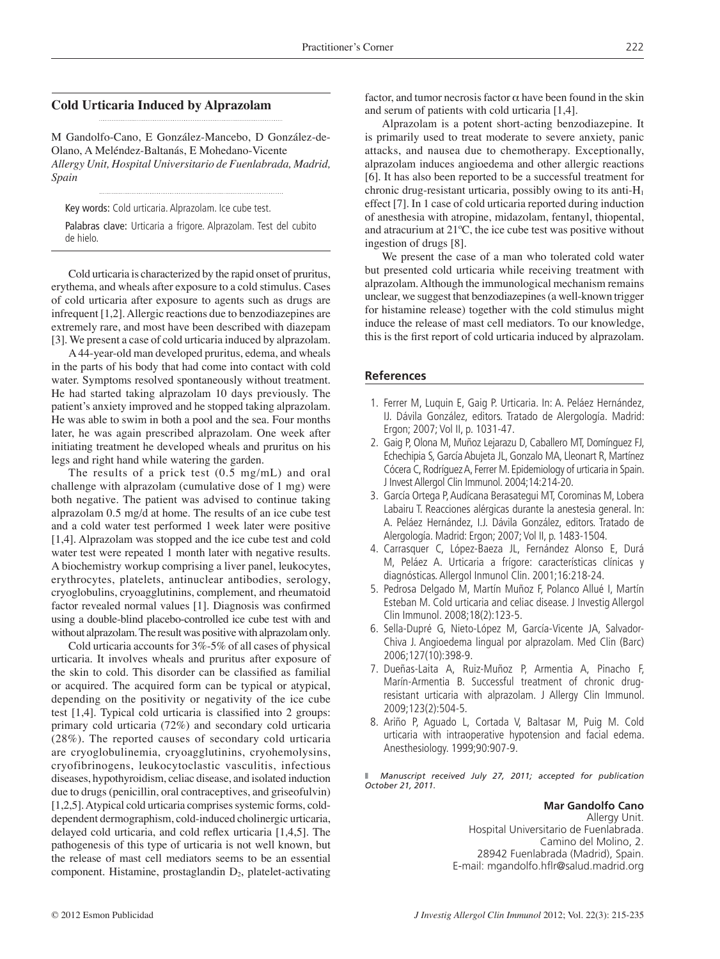## **Cold Urticaria Induced by Alprazolam**

M Gandolfo-Cano, E González-Mancebo, D González-de-Olano, A Meléndez-Baltanás, E Mohedano-Vicente *Allergy Unit, Hospital Universitario de Fuenlabrada, Madrid, Spain*

Key words: Cold urticaria. Alprazolam. Ice cube test.

Palabras clave: Urticaria a frigore. Alprazolam. Test del cubito de hielo.

Cold urticaria is characterized by the rapid onset of pruritus, erythema, and wheals after exposure to a cold stimulus. Cases of cold urticaria after exposure to agents such as drugs are infrequent [1,2]. Allergic reactions due to benzodiazepines are extremely rare, and most have been described with diazepam [3]. We present a case of cold urticaria induced by alprazolam.

A 44-year-old man developed pruritus, edema, and wheals in the parts of his body that had come into contact with cold water. Symptoms resolved spontaneously without treatment. He had started taking alprazolam 10 days previously. The patient's anxiety improved and he stopped taking alprazolam. He was able to swim in both a pool and the sea. Four months later, he was again prescribed alprazolam. One week after initiating treatment he developed wheals and pruritus on his legs and right hand while watering the garden.

The results of a prick test (0.5 mg/mL) and oral challenge with alprazolam (cumulative dose of 1 mg) were both negative. The patient was advised to continue taking alprazolam 0.5 mg/d at home. The results of an ice cube test and a cold water test performed 1 week later were positive [1,4]. Alprazolam was stopped and the ice cube test and cold water test were repeated 1 month later with negative results. A biochemistry workup comprising a liver panel, leukocytes, erythrocytes, platelets, antinuclear antibodies, serology, cryoglobulins, cryoagglutinins, complement, and rheumatoid factor revealed normal values [1]. Diagnosis was confirmed using a double-blind placebo-controlled ice cube test with and without alprazolam. The result was positive with alprazolam only.

Cold urticaria accounts for 3%-5% of all cases of physical urticaria. It involves wheals and pruritus after exposure of the skin to cold. This disorder can be classified as familial or acquired. The acquired form can be typical or atypical, depending on the positivity or negativity of the ice cube test  $[1,4]$ . Typical cold urticaria is classified into 2 groups: primary cold urticaria (72%) and secondary cold urticaria (28%). The reported causes of secondary cold urticaria are cryoglobulinemia, cryoagglutinins, cryohemolysins, cryofibrinogens, leukocytoclastic vasculitis, infectious diseases, hypothyroidism, celiac disease, and isolated induction due to drugs (penicillin, oral contraceptives, and griseofulvin) [1,2,5]. Atypical cold urticaria comprises systemic forms, colddependent dermographism, cold-induced cholinergic urticaria, delayed cold urticaria, and cold reflex urticaria  $[1,4,5]$ . The pathogenesis of this type of urticaria is not well known, but the release of mast cell mediators seems to be an essential component. Histamine, prostaglandin  $D_2$ , platelet-activating

factor, and tumor necrosis factor  $\alpha$  have been found in the skin and serum of patients with cold urticaria [1,4].

Alprazolam is a potent short-acting benzodiazepine. It is primarily used to treat moderate to severe anxiety, panic attacks, and nausea due to chemotherapy. Exceptionally, alprazolam induces angioedema and other allergic reactions [6]. It has also been reported to be a successful treatment for chronic drug-resistant urticaria, possibly owing to its anti-H1 effect [7]. In 1 case of cold urticaria reported during induction of anesthesia with atropine, midazolam, fentanyl, thiopental, and atracurium at 21ºC, the ice cube test was positive without ingestion of drugs [8].

We present the case of a man who tolerated cold water but presented cold urticaria while receiving treatment with alprazolam. Although the immunological mechanism remains unclear, we suggest that benzodiazepines (a well-known trigger for histamine release) together with the cold stimulus might induce the release of mast cell mediators. To our knowledge, this is the first report of cold urticaria induced by alprazolam.

# **References**

- 1. Ferrer M, Luquin E, Gaig P. Urticaria. In: A. Peláez Hernández, IJ. Dávila González, editors. Tratado de Alergología. Madrid: Ergon; 2007; Vol II, p. 1031-47.
- 2. Gaig P, Olona M, Muñoz Lejarazu D, Caballero MT, Domínguez FJ, Echechipia S, García Abujeta JL, Gonzalo MA, Lleonart R, Martínez Cócera C, Rodríguez A, Ferrer M. Epidemiology of urticaria in Spain. J Invest Allergol Clin Immunol. 2004;14:214-20.
- 3. García Ortega P, Audícana Berasategui MT, Corominas M, Lobera Labairu T. Reacciones alérgicas durante la anestesia general. In: A. Peláez Hernández, I.J. Dávila González, editors. Tratado de Alergología. Madrid: Ergon; 2007; Vol II, p. 1483-1504.
- 4. Carrasquer C, López-Baeza JL, Fernández Alonso E, Durá M, Peláez A. Urticaria a frígore: características clínicas y diagnósticas. Allergol Inmunol Clin. 2001;16:218-24.
- 5. Pedrosa Delgado M, Martín Muñoz F, Polanco Allué I, Martín Esteban M. Cold urticaria and celiac disease. J Investig Allergol Clin Immunol. 2008;18(2):123-5.
- 6. Sella-Dupré G, Nieto-López M, García-Vicente JA, Salvador-Chiva J. Angioedema lingual por alprazolam. Med Clin (Barc) 2006;127(10):398-9.
- 7. Dueñas-Laita A, Ruiz-Muñoz P, Armentia A, Pinacho F, Marín-Armentia B. Successful treatment of chronic drugresistant urticaria with alprazolam. J Allergy Clin Immunol. 2009;123(2):504-5.
- 8. Ariño P, Aguado L, Cortada V, Baltasar M, Puig M. Cold urticaria with intraoperative hypotension and facial edema. Anesthesiology. 1999;90:907-9.

❚ *Manuscript received July 27, 2011; accepted for publication October 21, 2011.*

# **Mar Gandolfo Cano**

Allergy Unit. Hospital Universitario de Fuenlabrada. Camino del Molino, 2. 28942 Fuenlabrada (Madrid), Spain. E-mail: mgandolfo.hflr@salud.madrid.org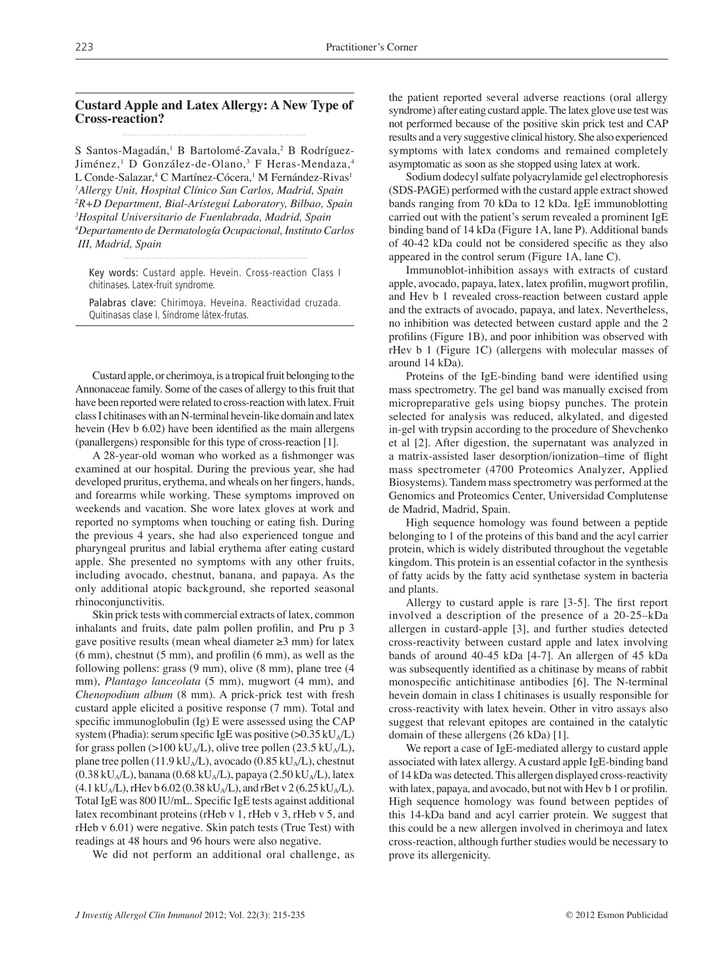#### *J Investig Allergol Clin Immunol* 2012; Vol. 22(3): 215-235 © 2012 Esmon Publicidad

## **Custard Apple and Latex Allergy: A New Type of Cross-reaction?**

S Santos-Magadán,<sup>1</sup> B Bartolomé-Zavala,<sup>2</sup> B Rodríguez-Jiménez,1 D González-de-Olano,3 F Heras-Mendaza,4 L Conde-Salazar,<sup>4</sup> C Martínez-Cócera,<sup>1</sup> M Fernández-Rivas<sup>1</sup> *1 Allergy Unit, Hospital Clínico San Carlos, Madrid, Spain 2 R+D Department, Bial-Arístegui Laboratory, Bilbao, Spain 3 Hospital Universitario de Fuenlabrada, Madrid, Spain 4 Departamento de Dermatología Ocupacional, Instituto Carlos III, Madrid, Spain*

Key words: Custard apple. Hevein. Cross-reaction Class I chitinases. Latex-fruit syndrome.

Palabras clave: Chirimoya. Heveína. Reactividad cruzada. Quitinasas clase I. Síndrome látex-frutas.

Custard apple, or cherimoya, is a tropical fruit belonging to the Annonaceae family. Some of the cases of allergy to this fruit that have been reported were related to cross-reaction with latex. Fruit class I chitinases with an N-terminal hevein-like domain and latex hevein (Hev b 6.02) have been identified as the main allergens (panallergens) responsible for this type of cross-reaction [1].

A 28-year-old woman who worked as a fishmonger was examined at our hospital. During the previous year, she had developed pruritus, erythema, and wheals on her fingers, hands, and forearms while working. These symptoms improved on weekends and vacation. She wore latex gloves at work and reported no symptoms when touching or eating fish. During the previous 4 years, she had also experienced tongue and pharyngeal pruritus and labial erythema after eating custard apple. She presented no symptoms with any other fruits, including avocado, chestnut, banana, and papaya. As the only additional atopic background, she reported seasonal rhinoconjunctivitis.

Skin prick tests with commercial extracts of latex, common inhalants and fruits, date palm pollen profilin, and Pru p 3 gave positive results (mean wheal diameter  $\geq$ 3 mm) for latex  $(6 \text{ mm})$ , chestnut  $(5 \text{ mm})$ , and profilin  $(6 \text{ mm})$ , as well as the following pollens: grass (9 mm), olive (8 mm), plane tree (4 mm), *Plantago lanceolata* (5 mm), mugwort (4 mm), and *Chenopodium album* (8 mm). A prick-prick test with fresh custard apple elicited a positive response (7 mm). Total and specific immunoglobulin  $(Ig)$  E were assessed using the CAP system (Phadia): serum specific IgE was positive  $(>0.35 \text{ kU}_A/L)$ for grass pollen (>100 kU<sub>A</sub>/L), olive tree pollen (23.5 kU<sub>A</sub>/L), plane tree pollen (11.9 kU<sub>A</sub>/L), avocado (0.85 kU<sub>A</sub>/L), chestnut (0.38 kU<sub>A</sub>/L), banana (0.68 kU<sub>A</sub>/L), papaya (2.50 kU<sub>A</sub>/L), latex  $(4.1 \text{ kU}_A/L)$ , rHev b 6.02 (0.38 kU<sub>A</sub>/L), and rBet v 2 (6.25 kU<sub>A</sub>/L). Total IgE was 800 IU/mL. Specific IgE tests against additional latex recombinant proteins (rHeb v 1, rHeb v 3, rHeb v 5, and rHeb v 6.01) were negative. Skin patch tests (True Test) with readings at 48 hours and 96 hours were also negative.

We did not perform an additional oral challenge, as

the patient reported several adverse reactions (oral allergy syndrome) after eating custard apple. The latex glove use test was not performed because of the positive skin prick test and CAP results and a very suggestive clinical history. She also experienced symptoms with latex condoms and remained completely asymptomatic as soon as she stopped using latex at work.

Sodium dodecyl sulfate polyacrylamide gel electrophoresis (SDS-PAGE) performed with the custard apple extract showed bands ranging from 70 kDa to 12 kDa. IgE immunoblotting carried out with the patient's serum revealed a prominent IgE binding band of 14 kDa (Figure 1A, lane P). Additional bands of 40-42 kDa could not be considered specific as they also appeared in the control serum (Figure 1A, lane C).

Immunoblot-inhibition assays with extracts of custard apple, avocado, papaya, latex, latex profilin, mugwort profilin, and Hev b 1 revealed cross-reaction between custard apple and the extracts of avocado, papaya, and latex. Nevertheless, no inhibition was detected between custard apple and the 2 profilins (Figure 1B), and poor inhibition was observed with rHev b 1 (Figure 1C) (allergens with molecular masses of around 14 kDa).

Proteins of the IgE-binding band were identified using mass spectrometry. The gel band was manually excised from micropreparative gels using biopsy punches. The protein selected for analysis was reduced, alkylated, and digested in-gel with trypsin according to the procedure of Shevchenko et al [2]. After digestion, the supernatant was analyzed in a matrix-assisted laser desorption/ionization–time of flight mass spectrometer (4700 Proteomics Analyzer, Applied Biosystems). Tandem mass spectrometry was performed at the Genomics and Proteomics Center, Universidad Complutense de Madrid, Madrid, Spain.

High sequence homology was found between a peptide belonging to 1 of the proteins of this band and the acyl carrier protein, which is widely distributed throughout the vegetable kingdom. This protein is an essential cofactor in the synthesis of fatty acids by the fatty acid synthetase system in bacteria and plants.

Allergy to custard apple is rare  $[3-5]$ . The first report involved a description of the presence of a 20-25–kDa allergen in custard-apple [3], and further studies detected cross-reactivity between custard apple and latex involving bands of around 40-45 kDa [4-7]. An allergen of 45 kDa was subsequently identified as a chitinase by means of rabbit monospecific antichitinase antibodies [6]. The N-terminal hevein domain in class I chitinases is usually responsible for cross-reactivity with latex hevein. Other in vitro assays also suggest that relevant epitopes are contained in the catalytic domain of these allergens (26 kDa) [1].

We report a case of IgE-mediated allergy to custard apple associated with latex allergy. A custard apple IgE-binding band of 14 kDa was detected. This allergen displayed cross-reactivity with latex, papaya, and avocado, but not with Hev b 1 or profilin. High sequence homology was found between peptides of this 14-kDa band and acyl carrier protein. We suggest that this could be a new allergen involved in cherimoya and latex cross-reaction, although further studies would be necessary to prove its allergenicity.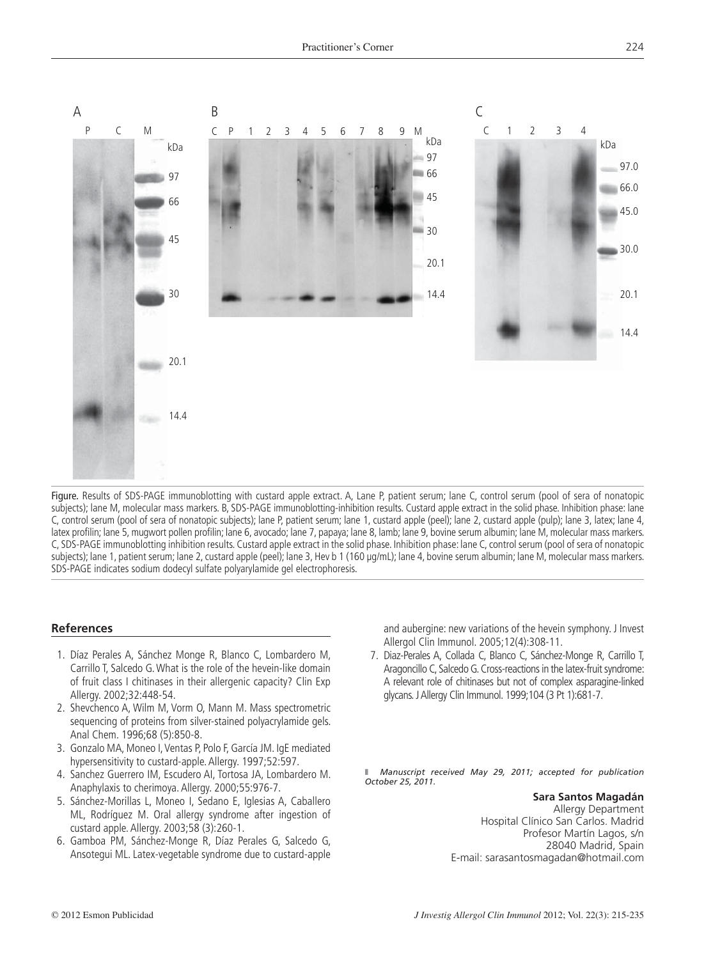

Figure. Results of SDS-PAGE immunoblotting with custard apple extract. A, Lane P, patient serum; lane C, control serum (pool of sera of nonatopic subjects); lane M, molecular mass markers. B, SDS-PAGE immunoblotting-inhibition results. Custard apple extract in the solid phase. Inhibition phase: lane C, control serum (pool of sera of nonatopic subjects); lane P, patient serum; lane 1, custard apple (peel); lane 2, custard apple (pulp); lane 3, latex; lane 4, latex profilin; lane 5, mugwort pollen profilin; lane 6, avocado; lane 7, papaya; lane 8, lamb; lane 9, bovine serum albumin; lane M, molecular mass markers. C, SDS-PAGE immunoblotting inhibition results. Custard apple extract in the solid phase. Inhibition phase: lane C, control serum (pool of sera of nonatopic subjects); lane 1, patient serum; lane 2, custard apple (peel); lane 3, Hev b 1 (160 µg/mL); lane 4, bovine serum albumin; lane M, molecular mass markers. SDS-PAGE indicates sodium dodecyl sulfate polyarylamide gel electrophoresis.

## **References**

- 1. Díaz Perales A, Sánchez Monge R, Blanco C, Lombardero M, Carrillo T, Salcedo G. What is the role of the hevein-like domain of fruit class I chitinases in their allergenic capacity? Clin Exp Allergy. 2002;32:448-54.
- 2. Shevchenco A, Wilm M, Vorm O, Mann M. Mass spectrometric sequencing of proteins from silver-stained polyacrylamide gels. Anal Chem. 1996;68 (5):850-8.
- 3. Gonzalo MA, Moneo I, Ventas P, Polo F, García JM. IgE mediated hypersensitivity to custard-apple. Allergy. 1997;52:597.
- 4. Sanchez Guerrero IM, Escudero AI, Tortosa JA, Lombardero M. Anaphylaxis to cherimoya. Allergy. 2000;55:976-7.
- 5. Sánchez-Morillas L, Moneo I, Sedano E, Iglesias A, Caballero ML, Rodríguez M. Oral allergy syndrome after ingestion of custard apple. Allergy. 2003;58 (3):260-1.
- 6. Gamboa PM, Sánchez-Monge R, Díaz Perales G, Salcedo G, Ansotegui ML. Latex-vegetable syndrome due to custard-apple

and aubergine: new variations of the hevein symphony. J Invest Allergol Clin Immunol. 2005;12(4):308-11.

 7. Diaz-Perales A, Collada C, Blanco C, Sánchez-Monge R, Carrillo T, Aragoncillo C, Salcedo G. Cross-reactions in the latex-fruit syndrome: A relevant role of chitinases but not of complex asparagine-linked glycans. J Allergy Clin Immunol. 1999;104 (3 Pt 1):681-7.

❚ *Manuscript received May 29, 2011; accepted for publication October 25, 2011.*

#### **Sara Santos Magadán**

Allergy Department Hospital Clínico San Carlos. Madrid Profesor Martín Lagos, s/n 28040 Madrid, Spain E-mail: sarasantosmagadan@hotmail.com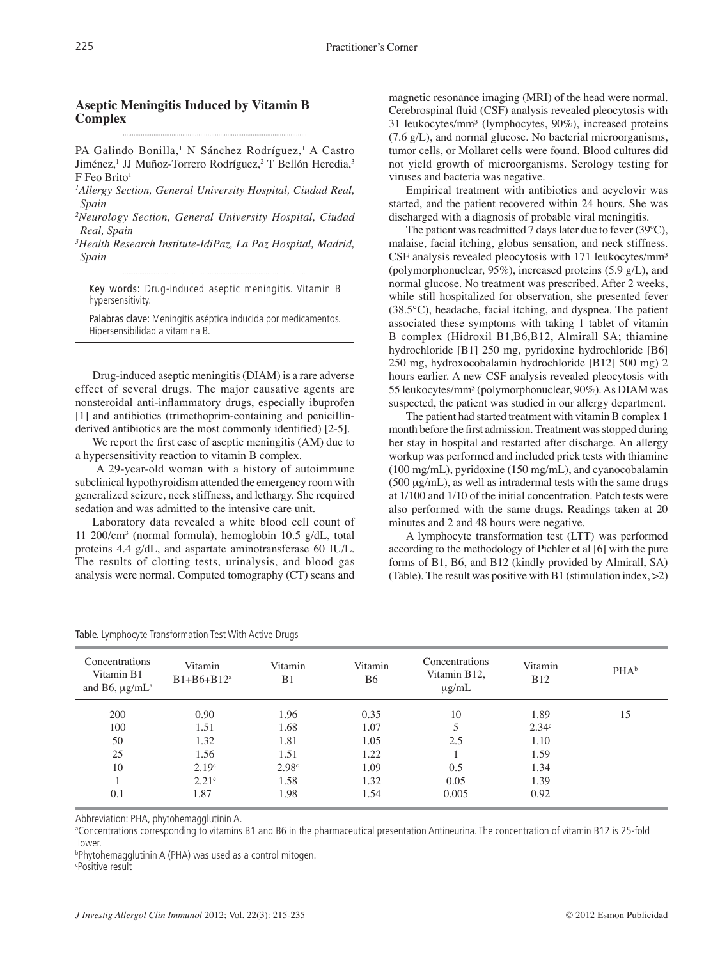## **Aseptic Meningitis Induced by Vitamin B Complex**

PA Galindo Bonilla,<sup>1</sup> N Sánchez Rodríguez,<sup>1</sup> A Castro Jiménez,<sup>1</sup> JJ Muñoz-Torrero Rodríguez,<sup>2</sup> T Bellón Heredia,<sup>3</sup> F Feo Brito<sup>1</sup>

*1 Allergy Section, General University Hospital, Ciudad Real, Spain* 

*2 Neurology Section, General University Hospital, Ciudad Real, Spain*

*3 Health Research Institute-IdiPaz, La Paz Hospital, Madrid, Spain*

Key words: Drug-induced aseptic meningitis. Vitamin B hypersensitivity.

Palabras clave: Meningitis aséptica inducida por medicamentos. Hipersensibilidad a vitamina B.

Drug-induced aseptic meningitis (DIAM) is a rare adverse effect of several drugs. The major causative agents are nonsteroidal anti-inflammatory drugs, especially ibuprofen [1] and antibiotics (trimethoprim-containing and penicillinderived antibiotics are the most commonly identified)  $[2-5]$ .

We report the first case of aseptic meningitis (AM) due to a hypersensitivity reaction to vitamin B complex.

 A 29-year-old woman with a history of autoimmune subclinical hypothyroidism attended the emergency room with generalized seizure, neck stiffness, and lethargy. She required sedation and was admitted to the intensive care unit.

Laboratory data revealed a white blood cell count of 11 200/cm3 (normal formula), hemoglobin 10.5 g/dL, total proteins 4.4 g/dL, and aspartate aminotransferase 60 IU/L. The results of clotting tests, urinalysis, and blood gas analysis were normal. Computed tomography (CT) scans and

magnetic resonance imaging (MRI) of the head were normal. Cerebrospinal fluid (CSF) analysis revealed pleocytosis with 31 leukocytes/mm³ (lymphocytes, 90%), increased proteins (7.6 g/L), and normal glucose. No bacterial microorganisms, tumor cells, or Mollaret cells were found. Blood cultures did not yield growth of microorganisms. Serology testing for viruses and bacteria was negative.

Empirical treatment with antibiotics and acyclovir was started, and the patient recovered within 24 hours. She was discharged with a diagnosis of probable viral meningitis.

The patient was readmitted 7 days later due to fever (39ºC), malaise, facial itching, globus sensation, and neck stiffness. CSF analysis revealed pleocytosis with 171 leukocytes/mm<sup>3</sup> (polymorphonuclear, 95%), increased proteins (5.9 g/L), and normal glucose. No treatment was prescribed. After 2 weeks, while still hospitalized for observation, she presented fever (38.5°C), headache, facial itching, and dyspnea. The patient associated these symptoms with taking 1 tablet of vitamin B complex (Hidroxil B1,B6,B12, Almirall SA; thiamine hydrochloride [B1] 250 mg, pyridoxine hydrochloride [B6] 250 mg, hydroxocobalamin hydrochloride [B12] 500 mg) 2 hours earlier. A new CSF analysis revealed pleocytosis with 55 leukocytes/mm³ (polymorphonuclear, 90%). As DIAM was suspected, the patient was studied in our allergy department.

The patient had started treatment with vitamin B complex 1 month before the first admission. Treatment was stopped during her stay in hospital and restarted after discharge. An allergy workup was performed and included prick tests with thiamine (100 mg/mL), pyridoxine (150 mg/mL), and cyanocobalamin (500 μg/mL), as well as intradermal tests with the same drugs at 1/100 and 1/10 of the initial concentration. Patch tests were also performed with the same drugs. Readings taken at 20 minutes and 2 and 48 hours were negative.

A lymphocyte transformation test (LTT) was performed according to the methodology of Pichler et al [6] with the pure forms of B1, B6, and B12 (kindly provided by Almirall, SA) (Table). The result was positive with B1 (stimulation index,  $>2$ )

| Concentrations<br>Vitamin B1<br>and B6, $\mu$ g/mL <sup>a</sup> | Vitamin<br>$B1 + B6 + B12^a$ | Vitamin<br>B <sub>1</sub> | Vitamin<br><b>B6</b> | Concentrations<br>Vitamin B12,<br>$\mu$ g/mL | Vitamin<br><b>B12</b> | PHA <sup>b</sup> |
|-----------------------------------------------------------------|------------------------------|---------------------------|----------------------|----------------------------------------------|-----------------------|------------------|
| 200                                                             | 0.90                         | 1.96                      | 0.35                 | 10                                           | 1.89                  | 15               |
| 100                                                             | 1.51                         | 1.68                      | 1.07                 | 5                                            | 2.34 <sup>c</sup>     |                  |
| 50                                                              | 1.32                         | 1.81                      | 1.05                 | 2.5                                          | 1.10                  |                  |
| 25                                                              | 1.56                         | 1.51                      | 1.22                 |                                              | 1.59                  |                  |
| 10                                                              | 2.19 <sup>c</sup>            | 2.98c                     | 1.09                 | 0.5                                          | 1.34                  |                  |
|                                                                 | 2.21 <sup>c</sup>            | 1.58                      | 1.32                 | 0.05                                         | 1.39                  |                  |
| 0.1                                                             | 1.87                         | 1.98                      | 1.54                 | 0.005                                        | 0.92                  |                  |

|  | Table. Lymphocyte Transformation Test With Active Drugs |  |  |
|--|---------------------------------------------------------|--|--|
|  |                                                         |  |  |

Abbreviation: PHA, phytohemagglutinin A.

a Concentrations corresponding to vitamins B1 and B6 in the pharmaceutical presentation Antineurina. The concentration of vitamin B12 is 25-fold lower.

b Phytohemagglutinin A (PHA) was used as a control mitogen.

c Positive result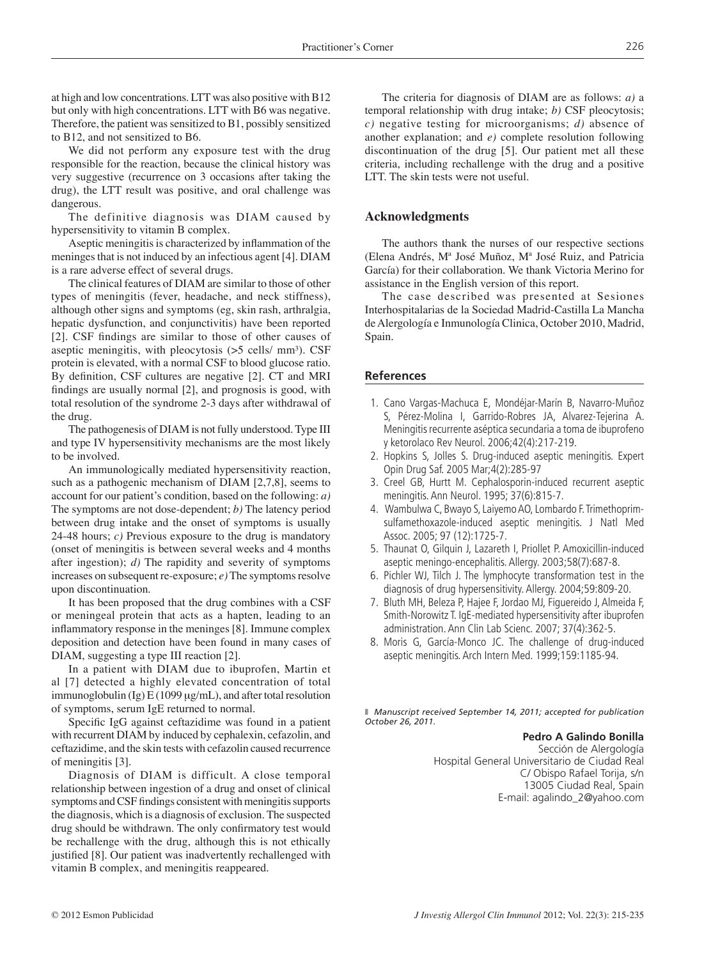at high and low concentrations. LTT was also positive with B12 but only with high concentrations. LTT with B6 was negative. Therefore, the patient was sensitized to B1, possibly sensitized to B12, and not sensitized to B6.

We did not perform any exposure test with the drug responsible for the reaction, because the clinical history was very suggestive (recurrence on 3 occasions after taking the drug), the LTT result was positive, and oral challenge was dangerous.

The definitive diagnosis was DIAM caused by hypersensitivity to vitamin B complex.

Aseptic meningitis is characterized by inflammation of the meninges that is not induced by an infectious agent [4]. DIAM is a rare adverse effect of several drugs.

The clinical features of DIAM are similar to those of other types of meningitis (fever, headache, and neck stiffness), although other signs and symptoms (eg, skin rash, arthralgia, hepatic dysfunction, and conjunctivitis) have been reported [2]. CSF findings are similar to those of other causes of aseptic meningitis, with pleocytosis  $(55 \text{ cells/mm}^3)$ . CSF protein is elevated, with a normal CSF to blood glucose ratio. By definition, CSF cultures are negative [2]. CT and MRI findings are usually normal [2], and prognosis is good, with total resolution of the syndrome 2-3 days after withdrawal of the drug.

The pathogenesis of DIAM is not fully understood. Type III and type IV hypersensitivity mechanisms are the most likely to be involved.

An immunologically mediated hypersensitivity reaction, such as a pathogenic mechanism of DIAM [2,7,8], seems to account for our patient's condition, based on the following: *a)* The symptoms are not dose-dependent; *b)* The latency period between drug intake and the onset of symptoms is usually 24-48 hours; *c)* Previous exposure to the drug is mandatory (onset of meningitis is between several weeks and 4 months after ingestion); *d)* The rapidity and severity of symptoms increases on subsequent re-exposure; *e)* The symptoms resolve upon discontinuation.

It has been proposed that the drug combines with a CSF or meningeal protein that acts as a hapten, leading to an inflammatory response in the meninges [8]. Immune complex deposition and detection have been found in many cases of DIAM, suggesting a type III reaction [2].

In a patient with DIAM due to ibuprofen, Martin et al [7] detected a highly elevated concentration of total immunoglobulin (Ig)  $E(1099 \mu g/mL)$ , and after total resolution of symptoms, serum IgE returned to normal.

Specific IgG against ceftazidime was found in a patient with recurrent DIAM by induced by cephalexin, cefazolin, and ceftazidime, and the skin tests with cefazolin caused recurrence of meningitis [3].

Diagnosis of DIAM is difficult. A close temporal relationship between ingestion of a drug and onset of clinical symptoms and CSF findings consistent with meningitis supports the diagnosis, which is a diagnosis of exclusion. The suspected drug should be withdrawn. The only confirmatory test would be rechallenge with the drug, although this is not ethically justified [8]. Our patient was inadvertently rechallenged with vitamin B complex, and meningitis reappeared.

The criteria for diagnosis of DIAM are as follows: *a)* a temporal relationship with drug intake; *b)* CSF pleocytosis; *c)* negative testing for microorganisms; *d)* absence of another explanation; and *e)* complete resolution following discontinuation of the drug [5]. Our patient met all these criteria, including rechallenge with the drug and a positive LTT. The skin tests were not useful.

## **Acknowledgments**

The authors thank the nurses of our respective sections (Elena Andrés, Mª José Muñoz, Mª José Ruiz, and Patricia García) for their collaboration. We thank Victoria Merino for assistance in the English version of this report.

The case described was presented at Sesiones Interhospitalarias de la Sociedad Madrid-Castilla La Mancha de Alergología e Inmunología Clinica, October 2010, Madrid, Spain.

### **References**

- 1. Cano Vargas-Machuca E, Mondéjar-Marín B, Navarro-Muñoz S, Pérez-Molina I, Garrido-Robres JA, Alvarez-Tejerina A. Meningitis recurrente aséptica secundaria a toma de ibuprofeno y ketorolaco Rev Neurol. 2006;42(4):217-219.
- 2. Hopkins S, Jolles S. Drug-induced aseptic meningitis. Expert Opin Drug Saf. 2005 Mar;4(2):285-97
- 3. Creel GB, Hurtt M. Cephalosporin-induced recurrent aseptic meningitis. Ann Neurol. 1995; 37(6):815-7.
- 4. Wambulwa C, Bwayo S, Laiyemo AO, Lombardo F. Trimethoprimsulfamethoxazole-induced aseptic meningitis. J Natl Med Assoc. 2005; 97 (12):1725-7.
- 5. Thaunat O, Gilquin J, Lazareth I, Priollet P. Amoxicillin-induced aseptic meningo-encephalitis. Allergy. 2003;58(7):687-8.
- 6. Pichler WJ, Tilch J. The lymphocyte transformation test in the diagnosis of drug hypersensitivity. Allergy. 2004;59:809-20.
- 7. Bluth MH, Beleza P, Hajee F, Jordao MJ, Figuereido J, Almeida F, Smith-Norowitz T. IgE-mediated hypersensitivity after ibuprofen administration. Ann Clin Lab Scienc. 2007; 37(4):362-5.
- 8. Moris G, García-Monco JC. The challenge of drug-induced aseptic meningitis. Arch Intern Med. 1999;159:1185-94.

■ Manuscript received September 14, 2011; accepted for publication *October 26, 2011.*

**Pedro A Galindo Bonilla** 

Sección de Alergología Hospital General Universitario de Ciudad Real C/ Obispo Rafael Torija, s/n 13005 Ciudad Real, Spain E-mail: agalindo\_2@yahoo.com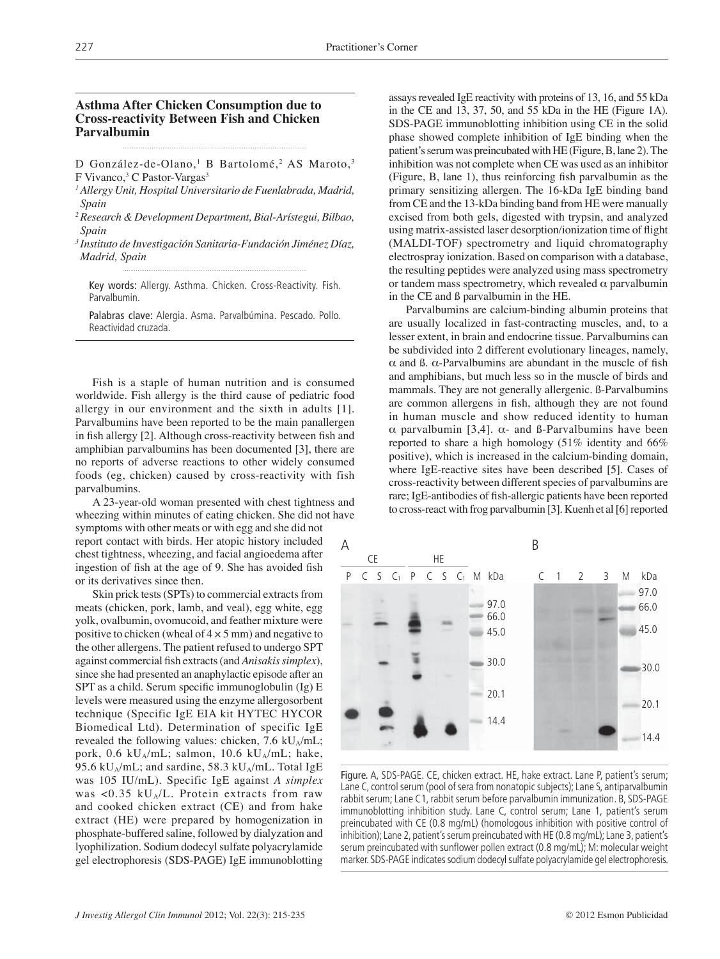# **Asthma After Chicken Consumption due to Cross-reactivity Between Fish and Chicken Parvalbumin**

D González-de-Olano,<sup>1</sup> B Bartolomé,<sup>2</sup> AS Maroto,<sup>3</sup> F Vivanco,<sup>3</sup> C Pastor-Vargas<sup>3</sup>

- *1 Allergy Unit, Hospital Universitario de Fuenlabrada, Madrid, Spain*
- *2 Research & Development Department, Bial-Arístegui, Bilbao, Spain*
- *3 Instituto de Investigación Sanitaria-Fundación Jiménez Díaz, Madrid, Spain*

Key words: Allergy. Asthma. Chicken. Cross-Reactivity. Fish. Parvalbumin.

Palabras clave: Alergia. Asma. Parvalbúmina. Pescado. Pollo. Reactividad cruzada.

Fish is a staple of human nutrition and is consumed worldwide. Fish allergy is the third cause of pediatric food allergy in our environment and the sixth in adults [1]. Parvalbumins have been reported to be the main panallergen in fish allergy [2]. Although cross-reactivity between fish and amphibian parvalbumins has been documented [3], there are no reports of adverse reactions to other widely consumed foods (eg, chicken) caused by cross-reactivity with fish parvalbumins.

A 23-year-old woman presented with chest tightness and wheezing within minutes of eating chicken. She did not have

symptoms with other meats or with egg and she did not report contact with birds. Her atopic history included chest tightness, wheezing, and facial angioedema after ingestion of fish at the age of 9. She has avoided fish or its derivatives since then.

Skin prick tests (SPTs) to commercial extracts from meats (chicken, pork, lamb, and veal), egg white, egg yolk, ovalbumin, ovomucoid, and feather mixture were positive to chicken (wheal of  $4 \times 5$  mm) and negative to the other allergens. The patient refused to undergo SPT against commercial fish extracts (and *Anisakis simplex*), since she had presented an anaphylactic episode after an SPT as a child. Serum specific immunoglobulin  $(Ig)$  E levels were measured using the enzyme allergosorbent technique (Specific IgE EIA kit HYTEC HYCOR Biomedical Ltd). Determination of specific IgE revealed the following values: chicken, 7.6 kU $_A$ /mL; pork, 0.6 kU<sub>A</sub>/mL; salmon, 10.6 kU<sub>A</sub>/mL; hake, 95.6 kU<sub>A</sub>/mL; and sardine, 58.3 kU<sub>A</sub>/mL. Total IgE was 105 IU/mL). Specific IgE against *A simplex* was <0.35 kU<sub>A</sub>/L. Protein extracts from raw and cooked chicken extract (CE) and from hake extract (HE) were prepared by homogenization in phosphate-buffered saline, followed by dialyzation and lyophilization. Sodium dodecyl sulfate polyacrylamide gel electrophoresis (SDS-PAGE) IgE immunoblotting assays revealed IgE reactivity with proteins of 13, 16, and 55 kDa in the CE and 13, 37, 50, and 55 kDa in the HE (Figure 1A). SDS-PAGE immunoblotting inhibition using CE in the solid phase showed complete inhibition of IgE binding when the patient's serum was preincubated with HE (Figure, B, lane 2). The inhibition was not complete when CE was used as an inhibitor (Figure,  $B$ , lane 1), thus reinforcing fish parvalbumin as the primary sensitizing allergen. The 16-kDa IgE binding band from CE and the 13-kDa binding band from HE were manually excised from both gels, digested with trypsin, and analyzed using matrix-assisted laser desorption/ionization time of flight (MALDI-TOF) spectrometry and liquid chromatography electrospray ionization. Based on comparison with a database, the resulting peptides were analyzed using mass spectrometry or tandem mass spectrometry, which revealed  $\alpha$  parvalbumin in the CE and ß parvalbumin in the HE.

Parvalbumins are calcium-binding albumin proteins that are usually localized in fast-contracting muscles, and, to a lesser extent, in brain and endocrine tissue. Parvalbumins can be subdivided into 2 different evolutionary lineages, namely,  $α$  and β.  $α$ -Parvalbumins are abundant in the muscle of fish and amphibians, but much less so in the muscle of birds and mammals. They are not generally allergenic. ß-Parvalbumins are common allergens in fish, although they are not found in human muscle and show reduced identity to human α parvalbumin [3,4]. α- and ß-Parvalbumins have been reported to share a high homology (51% identity and 66% positive), which is increased in the calcium-binding domain, where IgE-reactive sites have been described [5]. Cases of cross-reactivity between different species of parvalbumins are rare; IgE-antibodies of fish-allergic patients have been reported to cross-react with frog parvalbumin [3]. Kuenh et al [6] reported



Figure. A, SDS-PAGE. CE, chicken extract. HE, hake extract. Lane P, patient's serum; Lane C, control serum (pool of sera from nonatopic subjects); Lane S, antiparvalbumin rabbit serum; Lane C1, rabbit serum before parvalbumin immunization. B, SDS-PAGE immunoblotting inhibition study. Lane C, control serum; Lane 1, patient's serum preincubated with CE (0.8 mg/mL) (homologous inhibition with positive control of inhibition); Lane 2, patient's serum preincubated with HE (0.8 mg/mL); Lane 3, patient's serum preincubated with sunflower pollen extract (0.8 mg/mL); M: molecular weight marker. SDS-PAGE indicates sodium dodecyl sulfate polyacrylamide gel electrophoresis.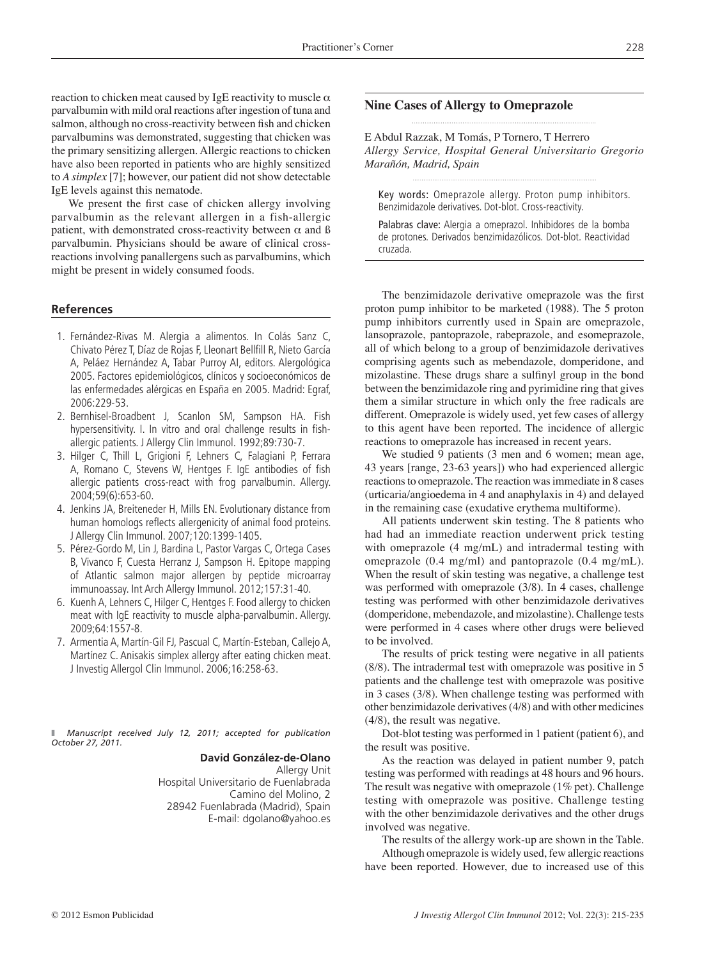reaction to chicken meat caused by IgE reactivity to muscle  $\alpha$ parvalbumin with mild oral reactions after ingestion of tuna and salmon, although no cross-reactivity between fish and chicken parvalbumins was demonstrated, suggesting that chicken was the primary sensitizing allergen. Allergic reactions to chicken have also been reported in patients who are highly sensitized to *A simplex* [7]; however, our patient did not show detectable IgE levels against this nematode.

We present the first case of chicken allergy involving parvalbumin as the relevant allergen in a fish-allergic patient, with demonstrated cross-reactivity between  $\alpha$  and  $\beta$ parvalbumin. Physicians should be aware of clinical crossreactions involving panallergens such as parvalbumins, which might be present in widely consumed foods.

#### **References**

- 1. Fernández-Rivas M. Alergia a alimentos. In Colás Sanz C, Chivato Pérez T, Díaz de Rojas F, Lleonart Bellfill R, Nieto García A, Peláez Hernández A, Tabar Purroy AI, editors. Alergológica 2005. Factores epidemiológicos, clínicos y socioeconómicos de las enfermedades alérgicas en España en 2005. Madrid: Egraf, 2006:229-53.
- 2. Bernhisel-Broadbent J, Scanlon SM, Sampson HA. Fish hypersensitivity. I. In vitro and oral challenge results in fishallergic patients. J Allergy Clin Immunol. 1992;89:730-7.
- 3. Hilger C, Thill L, Grigioni F, Lehners C, Falagiani P, Ferrara A, Romano C, Stevens W, Hentges F. IgE antibodies of fish allergic patients cross-react with frog parvalbumin. Allergy. 2004;59(6):653-60.
- 4. Jenkins JA, Breiteneder H, Mills EN. Evolutionary distance from human homologs reflects allergenicity of animal food proteins. J Allergy Clin Immunol. 2007;120:1399-1405.
- 5. Pérez-Gordo M, Lin J, Bardina L, Pastor Vargas C, Ortega Cases B, Vivanco F, Cuesta Herranz J, Sampson H. Epitope mapping of Atlantic salmon major allergen by peptide microarray immunoassay. Int Arch Allergy Immunol. 2012;157:31-40.
- 6. Kuenh A, Lehners C, Hilger C, Hentges F. Food allergy to chicken meat with IgE reactivity to muscle alpha-parvalbumin. Allergy. 2009;64:1557-8.
- 7. Armentia A, Martín-Gil FJ, Pascual C, Martín-Esteban, Callejo A, Martínez C. Anisakis simplex allergy after eating chicken meat. J Investig Allergol Clin Immunol. 2006;16:258-63.

❚ *Manuscript received July 12, 2011; accepted for publication October 27, 2011.*

#### **David González-de-Olano**

Allergy Unit Hospital Universitario de Fuenlabrada Camino del Molino, 2 28942 Fuenlabrada (Madrid), Spain E-mail: dgolano@yahoo.es

#### **Nine Cases of Allergy to Omeprazole**

E Abdul Razzak, M Tomás, P Tornero, T Herrero *Allergy Service, Hospital General Universitario Gregorio Marañón, Madrid, Spain*

Key words: Omeprazole allergy. Proton pump inhibitors. Benzimidazole derivatives. Dot-blot. Cross-reactivity.

Palabras clave: Alergia a omeprazol. Inhibidores de la bomba de protones. Derivados benzimidazólicos. Dot-blot. Reactividad cruzada.

The benzimidazole derivative omeprazole was the first proton pump inhibitor to be marketed (1988). The 5 proton pump inhibitors currently used in Spain are omeprazole, lansoprazole, pantoprazole, rabeprazole, and esomeprazole, all of which belong to a group of benzimidazole derivatives comprising agents such as mebendazole, domperidone, and mizolastine. These drugs share a sulfinyl group in the bond between the benzimidazole ring and pyrimidine ring that gives them a similar structure in which only the free radicals are different. Omeprazole is widely used, yet few cases of allergy to this agent have been reported. The incidence of allergic reactions to omeprazole has increased in recent years.

We studied 9 patients (3 men and 6 women; mean age, 43 years [range, 23-63 years]) who had experienced allergic reactions to omeprazole. The reaction was immediate in 8 cases (urticaria/angioedema in 4 and anaphylaxis in 4) and delayed in the remaining case (exudative erythema multiforme).

All patients underwent skin testing. The 8 patients who had had an immediate reaction underwent prick testing with omeprazole (4 mg/mL) and intradermal testing with omeprazole (0.4 mg/ml) and pantoprazole (0.4 mg/mL). When the result of skin testing was negative, a challenge test was performed with omeprazole (3/8). In 4 cases, challenge testing was performed with other benzimidazole derivatives (domperidone, mebendazole, and mizolastine). Challenge tests were performed in 4 cases where other drugs were believed to be involved.

The results of prick testing were negative in all patients (8/8). The intradermal test with omeprazole was positive in 5 patients and the challenge test with omeprazole was positive in 3 cases (3/8). When challenge testing was performed with other benzimidazole derivatives (4/8) and with other medicines (4/8), the result was negative.

Dot-blot testing was performed in 1 patient (patient 6), and the result was positive.

As the reaction was delayed in patient number 9, patch testing was performed with readings at 48 hours and 96 hours. The result was negative with omeprazole (1% pet). Challenge testing with omeprazole was positive. Challenge testing with the other benzimidazole derivatives and the other drugs involved was negative.

The results of the allergy work-up are shown in the Table.

Although omeprazole is widely used, few allergic reactions have been reported. However, due to increased use of this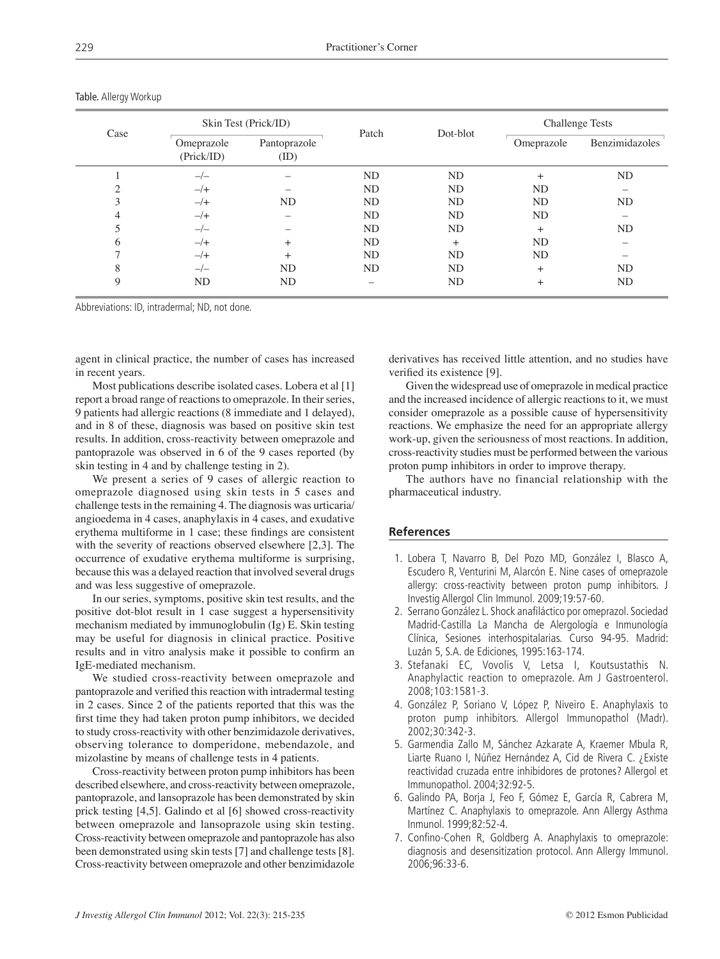| Case | Skin Test (Prick/ID)     |                      |       |           | <b>Challenge Tests</b> |                |
|------|--------------------------|----------------------|-------|-----------|------------------------|----------------|
|      | Omeprazole<br>(Prick/ID) | Pantoprazole<br>(ID) | Patch | Dot-blot  | Omeprazole             | Benzimidazoles |
|      | $-/-$                    |                      | ND    | ND        | $^{+}$                 | ND             |
| ◠    | $-\sqrt{+}$              |                      | ND    | ND        | <b>ND</b>              |                |
| 3    | $-\sqrt{+}$              | ND                   | ND    | ND        | <b>ND</b>              | ND             |
| 4    | $-\sqrt{+}$              |                      | ND    | ND        | N <sub>D</sub>         |                |
|      | $-/-$                    |                      | ND    | ND        | $+$                    | N <sub>D</sub> |
| 6    | $-\sqrt{+}$              | $+$                  | ND    | $+$       | <b>ND</b>              |                |
|      | $-\sqrt{+}$              | $^{+}$               | ND    | <b>ND</b> | ND                     |                |
| 8    | $-/-$                    | ND                   | ND    | ND        | $+$                    | N <sub>D</sub> |
| 9    | ND                       | ND                   |       | ND        | $+$                    | ND             |

#### Table. Allergy Workup

Abbreviations: ID, intradermal; ND, not done.

agent in clinical practice, the number of cases has increased in recent years.

Most publications describe isolated cases. Lobera et al [1] report a broad range of reactions to omeprazole. In their series, 9 patients had allergic reactions (8 immediate and 1 delayed), and in 8 of these, diagnosis was based on positive skin test results. In addition, cross-reactivity between omeprazole and pantoprazole was observed in 6 of the 9 cases reported (by skin testing in 4 and by challenge testing in 2).

We present a series of 9 cases of allergic reaction to omeprazole diagnosed using skin tests in 5 cases and challenge tests in the remaining 4. The diagnosis was urticaria/ angioedema in 4 cases, anaphylaxis in 4 cases, and exudative erythema multiforme in 1 case; these findings are consistent with the severity of reactions observed elsewhere [2,3]. The occurrence of exudative erythema multiforme is surprising, because this was a delayed reaction that involved several drugs and was less suggestive of omeprazole.

In our series, symptoms, positive skin test results, and the positive dot-blot result in 1 case suggest a hypersensitivity mechanism mediated by immunoglobulin (Ig) E. Skin testing may be useful for diagnosis in clinical practice. Positive results and in vitro analysis make it possible to confirm an IgE-mediated mechanism.

We studied cross-reactivity between omeprazole and pantoprazole and verified this reaction with intradermal testing in 2 cases. Since 2 of the patients reported that this was the first time they had taken proton pump inhibitors, we decided to study cross-reactivity with other benzimidazole derivatives, observing tolerance to domperidone, mebendazole, and mizolastine by means of challenge tests in 4 patients.

Cross-reactivity between proton pump inhibitors has been described elsewhere, and cross-reactivity between omeprazole, pantoprazole, and lansoprazole has been demonstrated by skin prick testing [4,5]. Galindo et al [6] showed cross-reactivity between omeprazole and lansoprazole using skin testing. Cross-reactivity between omeprazole and pantoprazole has also been demonstrated using skin tests [7] and challenge tests [8]. Cross-reactivity between omeprazole and other benzimidazole derivatives has received little attention, and no studies have verified its existence [9].

Given the widespread use of omeprazole in medical practice and the increased incidence of allergic reactions to it, we must consider omeprazole as a possible cause of hypersensitivity reactions. We emphasize the need for an appropriate allergy work-up, given the seriousness of most reactions. In addition, cross-reactivity studies must be performed between the various proton pump inhibitors in order to improve therapy.

The authors have no financial relationship with the pharmaceutical industry.

### **References**

- 1. Lobera T, Navarro B, Del Pozo MD, González I, Blasco A, Escudero R, Venturini M, Alarcón E. Nine cases of omeprazole allergy: cross-reactivity between proton pump inhibitors. J Investig Allergol Clin Immunol. 2009;19:57-60.
- 2. Serrano González L. Shock anafiláctico por omeprazol. Sociedad Madrid-Castilla La Mancha de Alergología e Inmunología Clínica, Sesiones interhospitalarias. Curso 94-95. Madrid: Luzán 5, S.A. de Ediciones, 1995:163-174.
- 3. Stefanaki EC, Vovolis V, Letsa I, Koutsustathis N. Anaphylactic reaction to omeprazole. Am J Gastroenterol. 2008;103:1581-3.
- 4. González P, Soriano V, López P, Niveiro E. Anaphylaxis to proton pump inhibitors. Allergol Immunopathol (Madr). 2002;30:342-3.
- 5. Garmendia Zallo M, Sánchez Azkarate A, Kraemer Mbula R, Liarte Ruano I, Núñez Hernández A, Cid de Rivera C. ¿Existe reactividad cruzada entre inhibidores de protones? Allergol et Immunopathol. 2004;32:92-5.
- 6. Galindo PA, Borja J, Feo F, Gómez E, García R, Cabrera M, Martínez C. Anaphylaxis to omeprazole. Ann Allergy Asthma Inmunol. 1999;82:52-4.
- 7. Confino-Cohen R, Goldberg A. Anaphylaxis to omeprazole: diagnosis and desensitization protocol. Ann Allergy Immunol. 2006;96:33-6.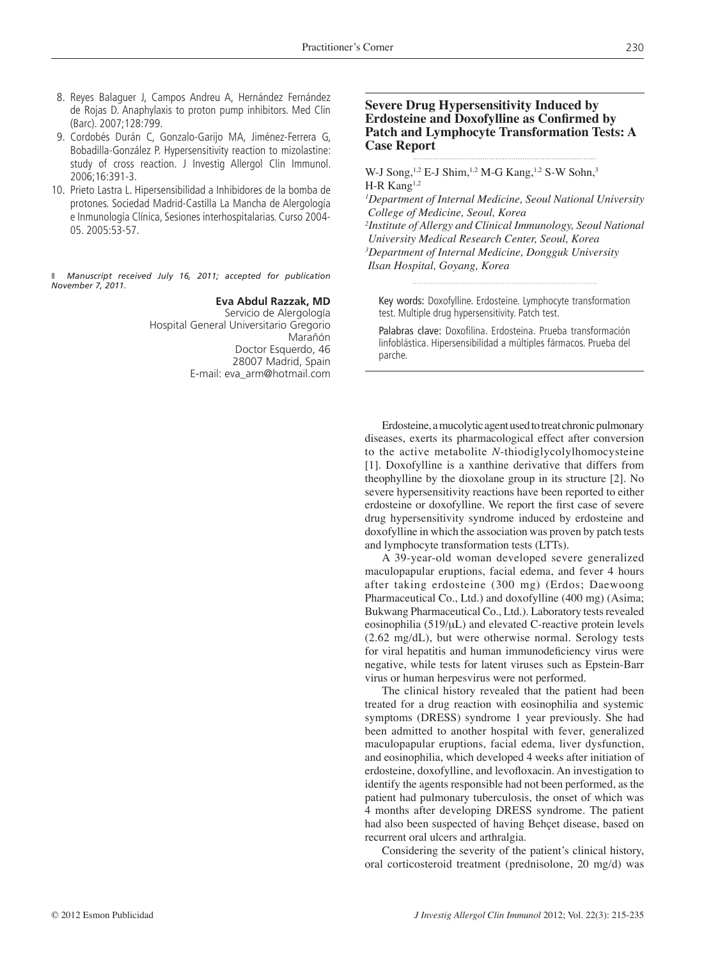- 8. Reyes Balaguer J, Campos Andreu A, Hernández Fernández de Rojas D. Anaphylaxis to proton pump inhibitors. Med Clin (Barc). 2007;128:799.
- 9. Cordobés Durán C, Gonzalo-Garijo MA, Jiménez-Ferrera G, Bobadilla-González P. Hypersensitivity reaction to mizolastine: study of cross reaction. J Investig Allergol Clin Immunol. 2006;16:391-3.
- 10. Prieto Lastra L. Hipersensibilidad a Inhibidores de la bomba de protones. Sociedad Madrid-Castilla La Mancha de Alergología e Inmunología Clínica, Sesiones interhospitalarias. Curso 2004- 05. 2005:53-57.

❚ *Manuscript received July 16, 2011; accepted for publication November 7, 2011.*

## **Eva Abdul Razzak, MD**

Servicio de Alergología Hospital General Universitario Gregorio Marañón Doctor Esquerdo, 46 28007 Madrid, Spain E-mail: eva\_arm@hotmail.com

# **Severe Drug Hypersensitivity Induced by Erdosteine and Doxofylline as Confirmed by Patch and Lymphocyte Transformation Tests: A Case Report**

W-J Song,<sup>1,2</sup> E-J Shim,<sup>1,2</sup> M-G Kang,<sup>1,2</sup> S-W Sohn,<sup>3</sup> H-R Kang1,2

*1 Department of Internal Medicine, Seoul National University College of Medicine, Seoul, Korea 2 Institute of Allergy and Clinical Immunology, Seoul National University Medical Research Center, Seoul, Korea 3 Department of Internal Medicine, Dongguk University Ilsan Hospital, Goyang, Korea*

Key words: Doxofylline. Erdosteine. Lymphocyte transformation test. Multiple drug hypersensitivity. Patch test.

Palabras clave: Doxofilina. Erdosteina. Prueba transformación linfoblástica. Hipersensibilidad a múltiples fármacos. Prueba del parche.

Erdosteine, a mucolytic agent used to treat chronic pulmonary diseases, exerts its pharmacological effect after conversion to the active metabolite *N*-thiodiglycolylhomocysteine [1]. Doxofylline is a xanthine derivative that differs from theophylline by the dioxolane group in its structure [2]. No severe hypersensitivity reactions have been reported to either erdosteine or doxofylline. We report the first case of severe drug hypersensitivity syndrome induced by erdosteine and doxofylline in which the association was proven by patch tests and lymphocyte transformation tests (LTTs).

A 39-year-old woman developed severe generalized maculopapular eruptions, facial edema, and fever 4 hours after taking erdosteine (300 mg) (Erdos; Daewoong Pharmaceutical Co., Ltd.) and doxofylline (400 mg) (Asima; Bukwang Pharmaceutical Co., Ltd.). Laboratory tests revealed eosinophilia (519/μL) and elevated C-reactive protein levels (2.62 mg/dL), but were otherwise normal. Serology tests for viral hepatitis and human immunodeficiency virus were negative, while tests for latent viruses such as Epstein-Barr virus or human herpesvirus were not performed.

The clinical history revealed that the patient had been treated for a drug reaction with eosinophilia and systemic symptoms (DRESS) syndrome 1 year previously. She had been admitted to another hospital with fever, generalized maculopapular eruptions, facial edema, liver dysfunction, and eosinophilia, which developed 4 weeks after initiation of erdosteine, doxofylline, and levofloxacin. An investigation to identify the agents responsible had not been performed, as the patient had pulmonary tuberculosis, the onset of which was 4 months after developing DRESS syndrome. The patient had also been suspected of having Behçet disease, based on recurrent oral ulcers and arthralgia.

Considering the severity of the patient's clinical history, oral corticosteroid treatment (prednisolone, 20 mg/d) was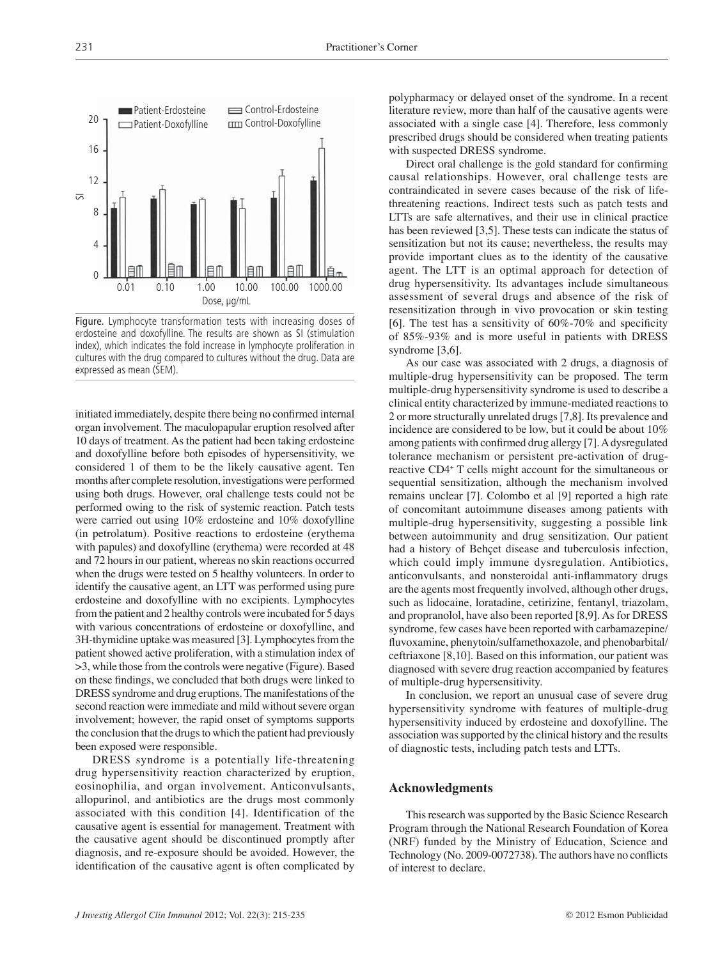

>3, while those from the controls were negative (Figure). Based on these findings, we concluded that both drugs were linked to DRESS syndrome and drug eruptions. The manifestations of the second reaction were immediate and mild without severe organ involvement; however, the rapid onset of symptoms supports the conclusion that the drugs to which the patient had previously been exposed were responsible.

DRESS syndrome is a potentially life-threatening drug hypersensitivity reaction characterized by eruption, eosinophilia, and organ involvement. Anticonvulsants, allopurinol, and antibiotics are the drugs most commonly associated with this condition [4]. Identification of the causative agent is essential for management. Treatment with the causative agent should be discontinued promptly after diagnosis, and re-exposure should be avoided. However, the identification of the causative agent is often complicated by polypharmacy or delayed onset of the syndrome. In a recent literature review, more than half of the causative agents were associated with a single case [4]. Therefore, less commonly prescribed drugs should be considered when treating patients with suspected DRESS syndrome.

Direct oral challenge is the gold standard for confirming causal relationships. However, oral challenge tests are contraindicated in severe cases because of the risk of lifethreatening reactions. Indirect tests such as patch tests and LTTs are safe alternatives, and their use in clinical practice has been reviewed [3,5]. These tests can indicate the status of sensitization but not its cause; nevertheless, the results may provide important clues as to the identity of the causative agent. The LTT is an optimal approach for detection of drug hypersensitivity. Its advantages include simultaneous assessment of several drugs and absence of the risk of resensitization through in vivo provocation or skin testing [6]. The test has a sensitivity of  $60\% - 70\%$  and specificity of 85%-93% and is more useful in patients with DRESS syndrome [3,6].

As our case was associated with 2 drugs, a diagnosis of multiple-drug hypersensitivity can be proposed. The term multiple-drug hypersensitivity syndrome is used to describe a clinical entity characterized by immune-mediated reactions to 2 or more structurally unrelated drugs [7,8]. Its prevalence and incidence are considered to be low, but it could be about 10% among patients with confirmed drug allergy [7]. A dysregulated tolerance mechanism or persistent pre-activation of drugreactive CD4+ T cells might account for the simultaneous or sequential sensitization, although the mechanism involved remains unclear [7]. Colombo et al [9] reported a high rate of concomitant autoimmune diseases among patients with multiple-drug hypersensitivity, suggesting a possible link between autoimmunity and drug sensitization. Our patient had a history of Behçet disease and tuberculosis infection, which could imply immune dysregulation. Antibiotics, anticonvulsants, and nonsteroidal anti-inflammatory drugs are the agents most frequently involved, although other drugs, such as lidocaine, loratadine, cetirizine, fentanyl, triazolam, and propranolol, have also been reported [8,9]. As for DRESS syndrome, few cases have been reported with carbamazepine/ fluvoxamine, phenytoin/sulfamethoxazole, and phenobarbital/ ceftriaxone [8,10]. Based on this information, our patient was diagnosed with severe drug reaction accompanied by features of multiple-drug hypersensitivity.

In conclusion, we report an unusual case of severe drug hypersensitivity syndrome with features of multiple-drug hypersensitivity induced by erdosteine and doxofylline. The association was supported by the clinical history and the results of diagnostic tests, including patch tests and LTTs.

### **Acknowledgments**

This research was supported by the Basic Science Research Program through the National Research Foundation of Korea (NRF) funded by the Ministry of Education, Science and Technology (No. 2009-0072738). The authors have no conflicts of interest to declare.



erdosteine and doxofylline. The results are shown as SI (stimulation index), which indicates the fold increase in lymphocyte proliferation in cultures with the drug compared to cultures without the drug. Data are

initiated immediately, despite there being no confirmed internal organ involvement. The maculopapular eruption resolved after 10 days of treatment. As the patient had been taking erdosteine and doxofylline before both episodes of hypersensitivity, we considered 1 of them to be the likely causative agent. Ten months after complete resolution, investigations were performed using both drugs. However, oral challenge tests could not be performed owing to the risk of systemic reaction. Patch tests were carried out using 10% erdosteine and 10% doxofylline (in petrolatum). Positive reactions to erdosteine (erythema with papules) and doxofylline (erythema) were recorded at 48

expressed as mean (SEM).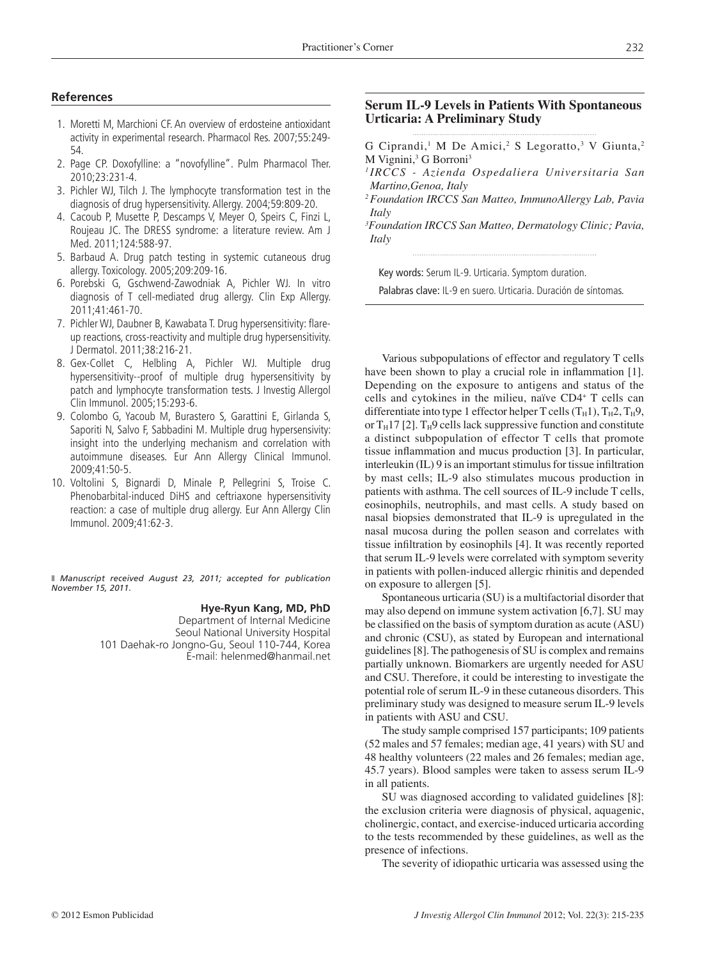## **References**

- 1. Moretti M, Marchioni CF. An overview of erdosteine antioxidant activity in experimental research. Pharmacol Res. 2007;55:249- 54.
- 2. Page CP. Doxofylline: a "novofylline". Pulm Pharmacol Ther. 2010;23:231-4.
- 3. Pichler WJ, Tilch J. The lymphocyte transformation test in the diagnosis of drug hypersensitivity. Allergy. 2004;59:809-20.
- 4. Cacoub P, Musette P, Descamps V, Meyer O, Speirs C, Finzi L, Roujeau JC. The DRESS syndrome: a literature review. Am J Med. 2011;124:588-97.
- 5. Barbaud A. Drug patch testing in systemic cutaneous drug allergy. Toxicology. 2005;209:209-16.
- 6. Porebski G, Gschwend-Zawodniak A, Pichler WJ. In vitro diagnosis of T cell-mediated drug allergy. Clin Exp Allergy. 2011;41:461-70.
- 7. Pichler WJ, Daubner B, Kawabata T. Drug hypersensitivity: flareup reactions, cross-reactivity and multiple drug hypersensitivity. J Dermatol. 2011;38:216-21.
- 8. Gex-Collet C, Helbling A, Pichler WJ. Multiple drug hypersensitivity--proof of multiple drug hypersensitivity by patch and lymphocyte transformation tests. J Investig Allergol Clin Immunol. 2005;15:293-6.
- 9. Colombo G, Yacoub M, Burastero S, Garattini E, Girlanda S, Saporiti N, Salvo F, Sabbadini M. Multiple drug hypersensivity: insight into the underlying mechanism and correlation with autoimmune diseases. Eur Ann Allergy Clinical Immunol. 2009;41:50-5.
- 10. Voltolini S, Bignardi D, Minale P, Pellegrini S, Troise C. Phenobarbital-induced DiHS and ceftriaxone hypersensitivity reaction: a case of multiple drug allergy. Eur Ann Allergy Clin Immunol. 2009;41:62-3.

■ Manuscript received August 23, 2011; accepted for publication *November 15, 2011.*

#### **Hye-Ryun Kang, MD, PhD**

Department of Internal Medicine Seoul National University Hospital 101 Daehak-ro Jongno-Gu, Seoul 110-744, Korea E-mail: helenmed@hanmail.net

## **Serum IL-9 Levels in Patients With Spontaneous Urticaria: A Preliminary Study**

G Ciprandi,<sup>1</sup> M De Amici,<sup>2</sup> S Legoratto,<sup>3</sup> V Giunta,<sup>2</sup> M Vignini,<sup>3</sup> G Borroni<sup>3</sup>

- *1 IRCCS Azienda Ospedaliera Universitaria San Martino,Genoa, Italy*
- *2 Foundation IRCCS San Matteo, ImmunoAllergy Lab, Pavia Italy*

*3 Foundation IRCCS San Matteo, Dermatology Clinic; Pavia, Italy*

Key words: Serum IL-9. Urticaria. Symptom duration.

Palabras clave: IL-9 en suero. Urticaria. Duración de síntomas.

Various subpopulations of effector and regulatory T cells have been shown to play a crucial role in inflammation [1]. Depending on the exposure to antigens and status of the cells and cytokines in the milieu, naïve CD4+ T cells can differentiate into type 1 effector helper T cells  $(T_H1)$ ,  $T_H2$ ,  $T_H9$ , or  $T_H$ 17 [2].  $T_H$ 9 cells lack suppressive function and constitute a distinct subpopulation of effector T cells that promote tissue inflammation and mucus production [3]. In particular, interleukin  $(IL)$  9 is an important stimulus for tissue infiltration by mast cells; IL-9 also stimulates mucous production in patients with asthma. The cell sources of IL-9 include T cells, eosinophils, neutrophils, and mast cells. A study based on nasal biopsies demonstrated that IL-9 is upregulated in the nasal mucosa during the pollen season and correlates with tissue infiltration by eosinophils [4]. It was recently reported that serum IL-9 levels were correlated with symptom severity in patients with pollen-induced allergic rhinitis and depended on exposure to allergen [5].

Spontaneous urticaria (SU) is a multifactorial disorder that may also depend on immune system activation [6,7]. SU may be classified on the basis of symptom duration as acute (ASU) and chronic (CSU), as stated by European and international guidelines [8]. The pathogenesis of SU is complex and remains partially unknown. Biomarkers are urgently needed for ASU and CSU. Therefore, it could be interesting to investigate the potential role of serum IL-9 in these cutaneous disorders. This preliminary study was designed to measure serum IL-9 levels in patients with ASU and CSU.

The study sample comprised 157 participants; 109 patients (52 males and 57 females; median age, 41 years) with SU and 48 healthy volunteers (22 males and 26 females; median age, 45.7 years). Blood samples were taken to assess serum IL-9 in all patients.

SU was diagnosed according to validated guidelines [8]: the exclusion criteria were diagnosis of physical, aquagenic, cholinergic, contact, and exercise-induced urticaria according to the tests recommended by these guidelines, as well as the presence of infections.

The severity of idiopathic urticaria was assessed using the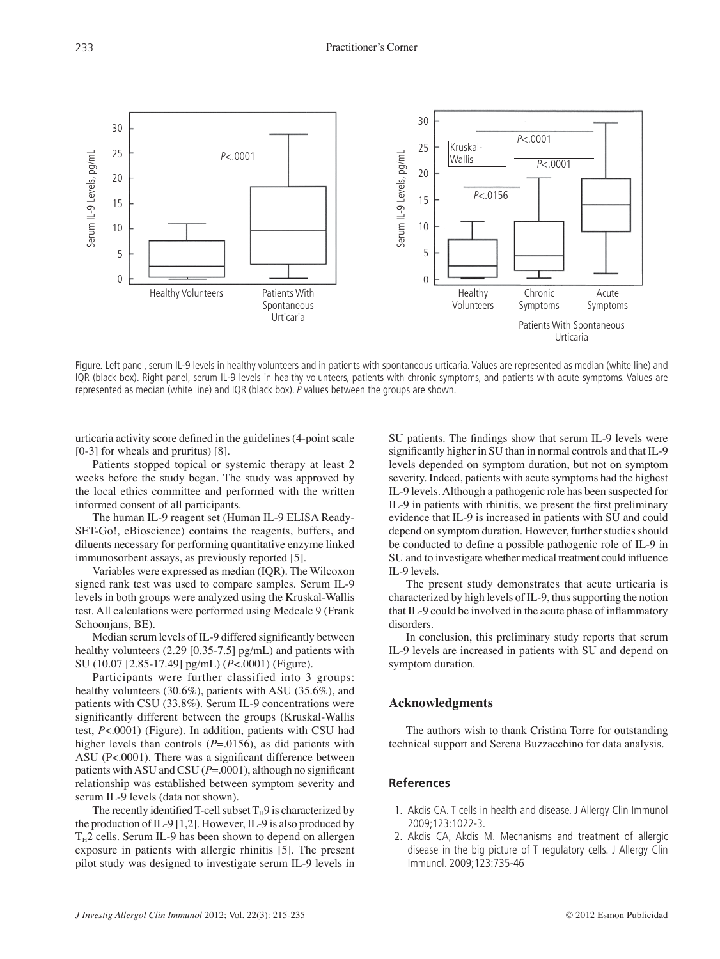

Figure. Left panel, serum IL-9 levels in healthy volunteers and in patients with spontaneous urticaria. Values are represented as median (white line) and IQR (black box). Right panel, serum IL-9 levels in healthy volunteers, patients with chronic symptoms, and patients with acute symptoms. Values are represented as median (white line) and IQR (black box). *P* values between the groups are shown.

urticaria activity score defined in the guidelines (4-point scale [0-3] for wheals and pruritus) [8].

Patients stopped topical or systemic therapy at least 2 weeks before the study began. The study was approved by the local ethics committee and performed with the written informed consent of all participants.

The human IL-9 reagent set (Human IL-9 ELISA Ready-SET-Go!, eBioscience) contains the reagents, buffers, and diluents necessary for performing quantitative enzyme linked immunosorbent assays, as previously reported [5].

Variables were expressed as median (IQR). The Wilcoxon signed rank test was used to compare samples. Serum IL-9 levels in both groups were analyzed using the Kruskal-Wallis test. All calculations were performed using Medcalc 9 (Frank Schoonjans, BE).

Median serum levels of IL-9 differed significantly between healthy volunteers (2.29 [0.35-7.5] pg/mL) and patients with SU (10.07 [2.85-17.49] pg/mL) (*P*<.0001) (Figure).

Participants were further classified into 3 groups: healthy volunteers (30.6%), patients with ASU (35.6%), and patients with CSU (33.8%). Serum IL-9 concentrations were significantly different between the groups (Kruskal-Wallis test, *P*<.0001) (Figure). In addition, patients with CSU had higher levels than controls (*P*=.0156), as did patients with ASU ( $P$ <.0001). There was a significant difference between patients with ASU and CSU  $(P=.0001)$ , although no significant relationship was established between symptom severity and serum IL-9 levels (data not shown).

The recently identified T-cell subset  $T_H9$  is characterized by the production of IL-9 [1,2]. However, IL-9 is also produced by  $T<sub>H</sub>2$  cells. Serum IL-9 has been shown to depend on allergen exposure in patients with allergic rhinitis [5]. The present pilot study was designed to investigate serum IL-9 levels in SU patients. The findings show that serum IL-9 levels were significantly higher in SU than in normal controls and that IL-9 levels depended on symptom duration, but not on symptom severity. Indeed, patients with acute symptoms had the highest IL-9 levels. Although a pathogenic role has been suspected for IL-9 in patients with rhinitis, we present the first preliminary evidence that IL-9 is increased in patients with SU and could depend on symptom duration. However, further studies should be conducted to define a possible pathogenic role of IL-9 in SU and to investigate whether medical treatment could influence IL-9 levels.

The present study demonstrates that acute urticaria is characterized by high levels of IL-9, thus supporting the notion that IL-9 could be involved in the acute phase of inflammatory disorders.

In conclusion, this preliminary study reports that serum IL-9 levels are increased in patients with SU and depend on symptom duration.

### **Acknowledgments**

The authors wish to thank Cristina Torre for outstanding technical support and Serena Buzzacchino for data analysis.

### **References**

- 1. Akdis CA. T cells in health and disease. J Allergy Clin Immunol 2009;123:1022-3.
- 2. Akdis CA, Akdis M. Mechanisms and treatment of allergic disease in the big picture of T regulatory cells. J Allergy Clin Immunol. 2009;123:735-46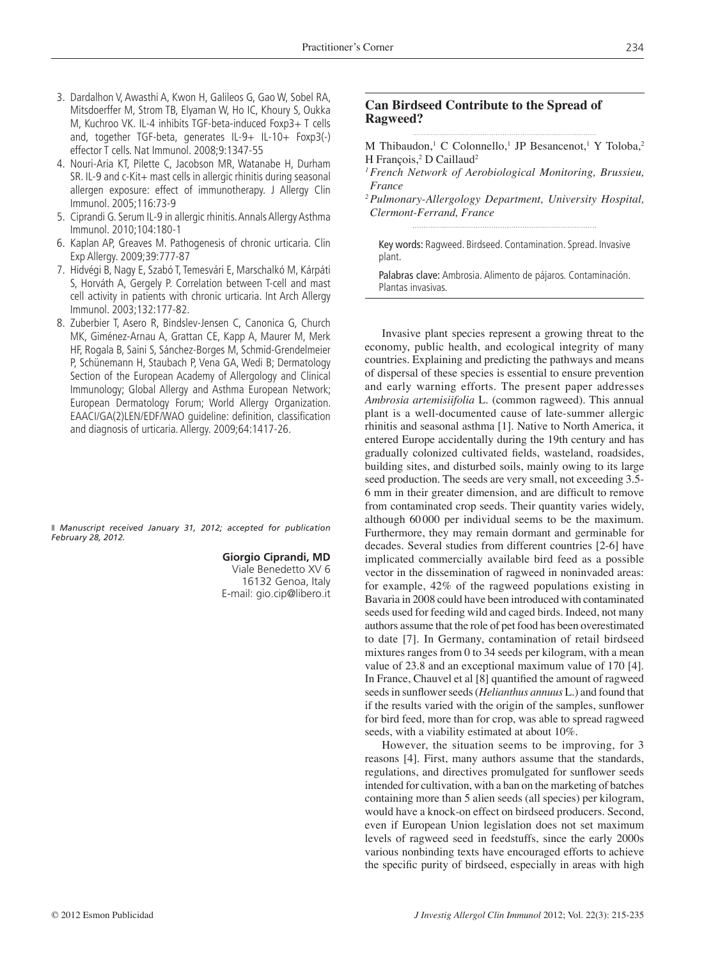- 3. Dardalhon V, Awasthi A, Kwon H, Galileos G, Gao W, Sobel RA, Mitsdoerffer M, Strom TB, Elyaman W, Ho IC, Khoury S, Oukka M, Kuchroo VK. IL-4 inhibits TGF-beta-induced Foxp3+ T cells and, together TGF-beta, generates IL-9+ IL-10+ Foxp3(-) effector T cells. Nat Immunol. 2008;9:1347-55
- 4. Nouri-Aria KT, Pilette C, Jacobson MR, Watanabe H, Durham SR. IL-9 and c-Kit+ mast cells in allergic rhinitis during seasonal allergen exposure: effect of immunotherapy. J Allergy Clin Immunol. 2005;116:73-9
- 5. Ciprandi G. Serum IL-9 in allergic rhinitis. Annals Allergy Asthma Immunol. 2010;104:180-1
- 6. Kaplan AP, Greaves M. Pathogenesis of chronic urticaria. Clin Exp Allergy. 2009;39:777-87
- 7. Hidvégi B, Nagy E, Szabó T, Temesvári E, Marschalkó M, Kárpáti S, Horváth A, Gergely P. Correlation between T-cell and mast cell activity in patients with chronic urticaria. Int Arch Allergy Immunol. 2003;132:177-82.
- 8. Zuberbier T, Asero R, Bindslev-Jensen C, Canonica G, Church MK, Giménez-Arnau A, Grattan CE, Kapp A, Maurer M, Merk HF, Rogala B, Saini S, Sánchez-Borges M, Schmid-Grendelmeier P, Schünemann H, Staubach P, Vena GA, Wedi B; Dermatology Section of the European Academy of Allergology and Clinical Immunology; Global Allergy and Asthma European Network; European Dermatology Forum; World Allergy Organization. EAACI/GA(2)LEN/EDF/WAO guideline: definition, classification and diagnosis of urticaria. Allergy. 2009;64:1417-26.

■ Manuscript received January 31, 2012; accepted for publication *February 28, 2012.*

**Giorgio Ciprandi, MD**

Viale Benedetto XV 6 16132 Genoa, Italy E-mail: gio.cip@libero.it

# **Can Birdseed Contribute to the Spread of Ragweed?**

- M Thibaudon,<sup>1</sup> C Colonnello,<sup>1</sup> JP Besancenot,<sup>1</sup> Y Toloba,<sup>2</sup> H François,<sup>2</sup> D Caillaud<sup>2</sup>
- *1 French Network of Aerobiological Monitoring, Brussieu, France*
- *2 Pulmonary-Allergology Department, University Hospital, Clermont-Ferrand, France*

Key words: Ragweed. Birdseed. Contamination. Spread. Invasive plant.

Palabras clave: Ambrosia. Alimento de pájaros. Contaminación. Plantas invasivas.

Invasive plant species represent a growing threat to the economy, public health, and ecological integrity of many countries. Explaining and predicting the pathways and means of dispersal of these species is essential to ensure prevention and early warning efforts. The present paper addresses *Ambrosia artemisiifolia* L. (common ragweed). This annual plant is a well-documented cause of late-summer allergic rhinitis and seasonal asthma [1]. Native to North America, it entered Europe accidentally during the 19th century and has gradually colonized cultivated fields, wasteland, roadsides, building sites, and disturbed soils, mainly owing to its large seed production. The seeds are very small, not exceeding 3.5-6 mm in their greater dimension, and are difficult to remove from contaminated crop seeds. Their quantity varies widely, although 60 000 per individual seems to be the maximum. Furthermore, they may remain dormant and germinable for decades. Several studies from different countries [2-6] have implicated commercially available bird feed as a possible vector in the dissemination of ragweed in noninvaded areas: for example, 42% of the ragweed populations existing in Bavaria in 2008 could have been introduced with contaminated seeds used for feeding wild and caged birds. Indeed, not many authors assume that the role of pet food has been overestimated to date [7]. In Germany, contamination of retail birdseed mixtures ranges from 0 to 34 seeds per kilogram, with a mean value of 23.8 and an exceptional maximum value of 170 [4]. In France, Chauvel et al [8] quantified the amount of ragweed seeds in sunflower seeds (*Helianthus annuus* L.) and found that if the results varied with the origin of the samples, sunflower for bird feed, more than for crop, was able to spread ragweed seeds, with a viability estimated at about 10%.

However, the situation seems to be improving, for 3 reasons [4]. First, many authors assume that the standards, regulations, and directives promulgated for sunflower seeds intended for cultivation, with a ban on the marketing of batches containing more than 5 alien seeds (all species) per kilogram, would have a knock-on effect on birdseed producers. Second, even if European Union legislation does not set maximum levels of ragweed seed in feedstuffs, since the early 2000s various nonbinding texts have encouraged efforts to achieve the specific purity of birdseed, especially in areas with high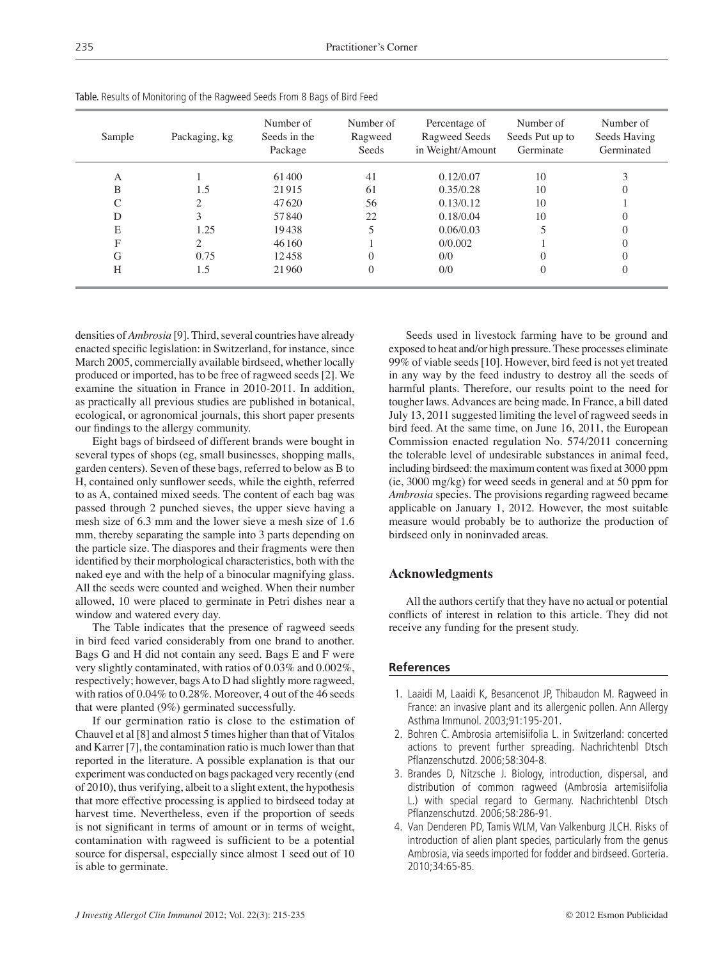| Sample | Packaging, kg | Number of<br>Seeds in the<br>Package | Number of<br>Ragweed<br>Seeds | Percentage of<br>Ragweed Seeds<br>in Weight/Amount | Number of<br>Seeds Put up to<br>Germinate | Number of<br>Seeds Having<br>Germinated |
|--------|---------------|--------------------------------------|-------------------------------|----------------------------------------------------|-------------------------------------------|-----------------------------------------|
| А      |               | 61400                                | 41                            | 0.12/0.07                                          | 10                                        |                                         |
| B      | 1.5           | 21915                                | 61                            | 0.35/0.28                                          | 10                                        |                                         |
|        |               | 47620                                | 56                            | 0.13/0.12                                          | 10                                        |                                         |
| D      |               | 57840                                | 22                            | 0.18/0.04                                          | 10                                        | $\mathbf{O}$                            |
| E      | 1.25          | 19438                                |                               | 0.06/0.03                                          |                                           |                                         |
| F      | $\mathcal{D}$ | 46160                                |                               | 0/0.002                                            |                                           |                                         |
| G      | 0.75          | 12458                                | $\Omega$                      | 0/0                                                |                                           |                                         |
| H      | 1.5           | 21960                                |                               | 0/0                                                |                                           |                                         |

Table. Results of Monitoring of the Ragweed Seeds From 8 Bags of Bird Feed

densities of *Ambrosia* [9]. Third, several countries have already enacted specific legislation: in Switzerland, for instance, since March 2005, commercially available birdseed, whether locally produced or imported, has to be free of ragweed seeds [2]. We examine the situation in France in 2010-2011. In addition, as practically all previous studies are published in botanical, ecological, or agronomical journals, this short paper presents our findings to the allergy community.

Eight bags of birdseed of different brands were bought in several types of shops (eg, small businesses, shopping malls, garden centers). Seven of these bags, referred to below as B to H, contained only sunflower seeds, while the eighth, referred to as A, contained mixed seeds. The content of each bag was passed through 2 punched sieves, the upper sieve having a mesh size of 6.3 mm and the lower sieve a mesh size of 1.6 mm, thereby separating the sample into 3 parts depending on the particle size. The diaspores and their fragments were then identified by their morphological characteristics, both with the naked eye and with the help of a binocular magnifying glass. All the seeds were counted and weighed. When their number allowed, 10 were placed to germinate in Petri dishes near a window and watered every day.

The Table indicates that the presence of ragweed seeds in bird feed varied considerably from one brand to another. Bags G and H did not contain any seed. Bags E and F were very slightly contaminated, with ratios of 0.03% and 0.002%, respectively; however, bags A to D had slightly more ragweed, with ratios of 0.04% to 0.28%. Moreover, 4 out of the 46 seeds that were planted (9%) germinated successfully.

If our germination ratio is close to the estimation of Chauvel et al [8] and almost 5 times higher than that of Vitalos and Karrer [7], the contamination ratio is much lower than that reported in the literature. A possible explanation is that our experiment was conducted on bags packaged very recently (end of 2010), thus verifying, albeit to a slight extent, the hypothesis that more effective processing is applied to birdseed today at harvest time. Nevertheless, even if the proportion of seeds is not significant in terms of amount or in terms of weight, contamination with ragweed is sufficient to be a potential source for dispersal, especially since almost 1 seed out of 10 is able to germinate.

Seeds used in livestock farming have to be ground and exposed to heat and/or high pressure. These processes eliminate 99% of viable seeds [10]. However, bird feed is not yet treated in any way by the feed industry to destroy all the seeds of harmful plants. Therefore, our results point to the need for tougher laws. Advances are being made. In France, a bill dated July 13, 2011 suggested limiting the level of ragweed seeds in bird feed. At the same time, on June 16, 2011, the European Commission enacted regulation No. 574/2011 concerning the tolerable level of undesirable substances in animal feed, including birdseed: the maximum content was fixed at 3000 ppm (ie, 3000 mg/kg) for weed seeds in general and at 50 ppm for *Ambrosia* species. The provisions regarding ragweed became applicable on January 1, 2012. However, the most suitable measure would probably be to authorize the production of birdseed only in noninvaded areas.

### **Acknowledgments**

All the authors certify that they have no actual or potential conflicts of interest in relation to this article. They did not receive any funding for the present study.

### **References**

- 1. Laaidi M, Laaidi K, Besancenot JP, Thibaudon M. Ragweed in France: an invasive plant and its allergenic pollen. Ann Allergy Asthma Immunol. 2003;91:195-201.
- 2. Bohren C. Ambrosia artemisiifolia L. in Switzerland: concerted actions to prevent further spreading. Nachrichtenbl Dtsch Pflanzenschutzd. 2006;58:304-8.
- 3. Brandes D, Nitzsche J. Biology, introduction, dispersal, and distribution of common ragweed (Ambrosia artemisiifolia L.) with special regard to Germany. Nachrichtenbl Dtsch Pflanzenschutzd. 2006;58:286-91.
- 4. Van Denderen PD, Tamis WLM, Van Valkenburg JLCH. Risks of introduction of alien plant species, particularly from the genus Ambrosia, via seeds imported for fodder and birdseed. Gorteria. 2010;34:65-85.